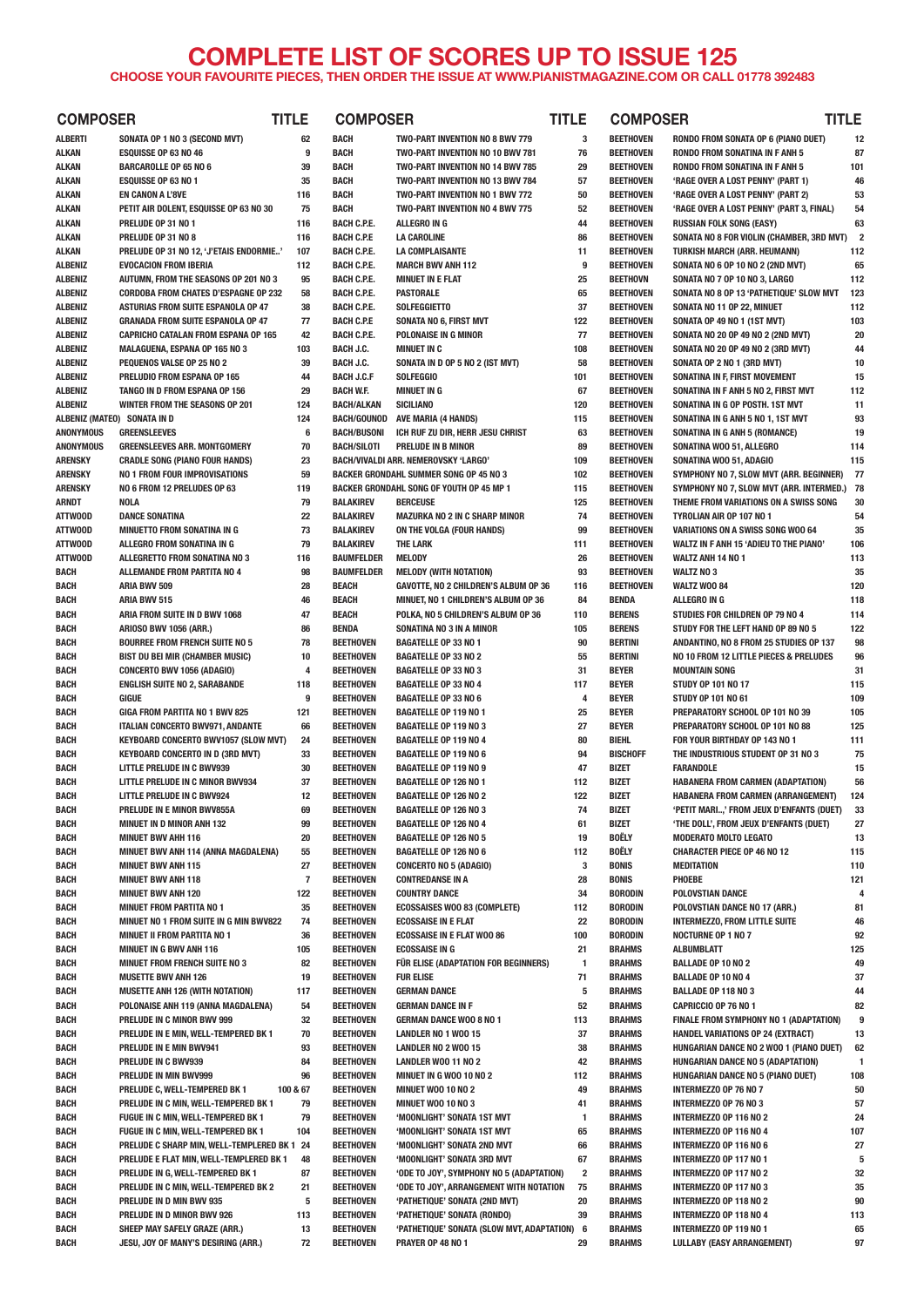## **COMPLETE LIST OF SCORES UP TO ISSUE 125 CHOOSE YOUR FAVOURITE PIECES, THEN ORDER THE ISSUE AT WWW.PIANISTMAGAZINE.COM OR CALL 01778 392483**

| <b>COMPOSER</b>                  | <b>TITLE</b>                                                          |                | <b>COMPOSER</b>                          |                                                                   | <b>TITLE</b>   | <b>COMPOSER</b>                      | <b>TITLE</b>                                                                          |                |
|----------------------------------|-----------------------------------------------------------------------|----------------|------------------------------------------|-------------------------------------------------------------------|----------------|--------------------------------------|---------------------------------------------------------------------------------------|----------------|
| ALBERTI                          | SONATA OP 1 NO 3 (SECOND MVT)                                         | 62             | <b>BACH</b>                              | TWO-PART INVENTION NO 8 BWV 779                                   | 3              | <b>BEETHOVEN</b>                     | RONDO FROM SONATA OP 6 (PIANO DUET)                                                   | 12             |
| <b>ALKAN</b>                     | <b>ESQUISSE OP 63 NO 46</b>                                           | 9              | <b>BACH</b>                              | TWO-PART INVENTION NO 10 BWV 781                                  | 76             | <b>BEETHOVEN</b>                     | <b>RONDO FROM SONATINA IN F ANH 5</b>                                                 | 87             |
| <b>ALKAN</b>                     | <b>BARCAROLLE OP 65 NO 6</b>                                          | 39             | <b>BACH</b>                              | TWO-PART INVENTION NO 14 BWV 785                                  | 29             | <b>BEETHOVEN</b>                     | <b>RONDO FROM SONATINA IN F ANH 5</b>                                                 | 101            |
| <b>ALKAN</b>                     | <b>ESQUISSE OP 63 NO 1</b>                                            | 35             | <b>BACH</b>                              | TWO-PART INVENTION NO 13 BWV 784                                  | 57             | <b>BEETHOVEN</b>                     | 'RAGE OVER A LOST PENNY' (PART 1)                                                     | 46             |
| ALKAN                            | <b>EN CANON A L'8VE</b>                                               | 116            | <b>BACH</b>                              | TWO-PART INVENTION NO 1 BWV 772                                   | 50             | <b>BEETHOVEN</b>                     | 'RAGE OVER A LOST PENNY' (PART 2)                                                     | 53             |
| <b>ALKAN</b>                     | PETIT AIR DOLENT, ESQUISSE OP 63 NO 30                                | 75             | <b>BACH</b>                              | TWO-PART INVENTION NO 4 BWV 775                                   | 52             | <b>BEETHOVEN</b>                     | 'RAGE OVER A LOST PENNY' (PART 3, FINAL)                                              | 54             |
| ALKAN                            | PRELUDE OP 31 NO 1                                                    | 116            | <b>BACH C.P.E.</b>                       | ALLEGRO IN G                                                      | 44             | <b>BEETHOVEN</b>                     | <b>RUSSIAN FOLK SONG (EASY)</b>                                                       | 63             |
| <b>ALKAN</b>                     | PRELUDE OP 31 NO 8                                                    | 116            | <b>BACH C.P.E</b>                        | <b>LA CAROLINE</b>                                                | 86             | <b>BEETHOVEN</b>                     | SONATA NO 8 FOR VIOLIN (CHAMBER, 3RD MVT)                                             | $\overline{2}$ |
| ALKAN                            | PRELUDE OP 31 NO 12, 'J'ETAIS ENDORMIE'                               | 107            | <b>BACH C.P.E.</b>                       | <b>LA COMPLAISANTE</b>                                            | 11             | <b>BEETHOVEN</b>                     | <b>TURKISH MARCH (ARR. HEUMANN)</b>                                                   | 112            |
| <b>ALBENIZ</b><br><b>ALBENIZ</b> | <b>EVOCACION FROM IBERIA</b><br>AUTUMN, FROM THE SEASONS OP 201 NO 3  | 112<br>95      | <b>BACH C.P.E.</b><br><b>BACH C.P.E.</b> | <b>MARCH BWV ANH 112</b><br><b>MINUET IN E FLAT</b>               | 9<br>25        | <b>BEETHOVEN</b><br><b>BEETHOVN</b>  | SONATA NO 6 OP 10 NO 2 (2ND MVT)<br>SONATA NO 7 OP 10 NO 3, LARGO                     | 65<br>112      |
| <b>ALBENIZ</b>                   | <b>CORDOBA FROM CHATES D'ESPAGNE OP 232</b>                           | 58             | <b>BACH C.P.E.</b>                       | PASTORALE                                                         | 65             | <b>BEETHOVEN</b>                     | SONATA NO 8 OP 13 'PATHETIQUE' SLOW MVT                                               | 123            |
| ALBENIZ                          | ASTURIAS FROM SUITE ESPANOLA OP 47                                    | 38             | <b>BACH C.P.E.</b>                       | <b>SOLFEGGIETTO</b>                                               | 37             | <b>BEETHOVEN</b>                     | SONATA NO 11 OP 22, MINUET                                                            | 112            |
| <b>ALBENIZ</b>                   | <b>GRANADA FROM SUITE ESPANOLA OP 47</b>                              | 77             | <b>BACH C.P.E</b>                        | SONATA NO 6, FIRST MVT                                            | 122            | <b>BEETHOVEN</b>                     | SONATA OP 49 NO 1 (1ST MVT)                                                           | 103            |
| <b>ALBENIZ</b>                   | <b>CAPRICHO CATALAN FROM ESPANA OP 165</b>                            | 42             | <b>BACH C.P.E.</b>                       | POLONAISE IN G MINOR                                              | 77             | <b>BEETHOVEN</b>                     | SONATA NO 20 OP 49 NO 2 (2ND MVT)                                                     | 20             |
| ALBENIZ                          | MALAGUENA, ESPANA OP 165 NO 3                                         | 103            | <b>BACH J.C.</b>                         | <b>MINUET IN C</b>                                                | 108            | <b>BEETHOVEN</b>                     | SONATA NO 20 OP 49 NO 2 (3RD MVT)                                                     | 44             |
| ALBENIZ                          | PEQUENOS VALSE OP 25 NO 2                                             | 39             | <b>BACH J.C.</b>                         | SONATA IN D OP 5 NO 2 (IST MVT)                                   | 58             | <b>BEETHOVEN</b>                     | SONATA OP 2 NO 1 (3RD MVT)                                                            | 10             |
| <b>ALBENIZ</b>                   | PRELUDIO FROM ESPANA OP 165                                           | 44             | <b>BACH J.C.F</b>                        | <b>SOLFEGGIO</b>                                                  | 101            | <b>BEETHOVEN</b>                     | SONATINA IN F, FIRST MOVEMENT                                                         | 15             |
| <b>ALBENIZ</b>                   | TANGO IN D FROM ESPANA OP 156                                         | 29             | <b>BACH W.F.</b>                         | <b>MINUET IN G</b>                                                | 67             | <b>BEETHOVEN</b>                     | SONATINA IN F ANH 5 NO 2, FIRST MVT                                                   | 112            |
| <b>ALBENIZ</b>                   | <b>WINTER FROM THE SEASONS OP 201</b>                                 | 124            | <b>BACH/ALKAN</b>                        | <b>SICILIANO</b>                                                  | 120            | <b>BEETHOVEN</b>                     | SONATINA IN G OP POSTH. 1ST MVT                                                       | 11             |
| ALBENIZ (MATEO) SONATA IN D      |                                                                       | 124            | <b>BACH/GOUNOD</b>                       | <b>AVE MARIA (4 HANDS)</b>                                        | 115            | <b>BEETHOVEN</b>                     | SONATINA IN G ANH 5 NO 1, 1ST MVT                                                     | 93             |
| ANONYMOUS                        | <b>GREENSLEEVES</b>                                                   | 6              | <b>BACH/BUSONI</b>                       | ICH RUF ZU DIR, HERR JESU CHRIST                                  | 63             | <b>BEETHOVEN</b>                     | SONATINA IN G ANH 5 (ROMANCE)                                                         | 19             |
| ANONYMOUS                        | <b>GREENSLEEVES ARR. MONTGOMERY</b>                                   | 70             | <b>BACH/SILOTI</b>                       | PRELUDE IN B MINOR                                                | 89             | <b>BEETHOVEN</b>                     | SONATINA WOO 51, ALLEGRO                                                              | 114            |
| ARENSKY                          | <b>CRADLE SONG (PIANO FOUR HANDS)</b>                                 | 23             |                                          | BACH/VIVALDI ARR. NEMEROVSKY 'LARGO'                              | 109            | <b>BEETHOVEN</b>                     | SONATINA WOO 51, ADAGIO                                                               | 115            |
| ARENSKY                          | NO 1 FROM FOUR IMPROVISATIONS                                         | 59             |                                          | <b>BACKER GRONDAHL SUMMER SONG OP 45 NO 3</b>                     | 102            | <b>BEETHOVEN</b>                     | SYMPHONY NO 7, SLOW MVT (ARR. BEGINNER)                                               | 77             |
| ARENSKY                          | NO 6 FROM 12 PRELUDES OP 63                                           | 119            |                                          | <b>BACKER GRONDAHL SONG OF YOUTH OP 45 MP 1</b>                   | 115            | <b>BEETHOVEN</b>                     | SYMPHONY NO 7, SLOW MVT (ARR. INTERMED.) 78                                           |                |
| ARNDT                            | <b>NOLA</b>                                                           | 79             | <b>BALAKIREV</b>                         | <b>BERCEUSE</b>                                                   | 125            | <b>BEETHOVEN</b><br><b>BEETHOVEN</b> | THEME FROM VARIATIONS ON A SWISS SONG                                                 | 30             |
| <b>ATTWOOD</b><br>ATTWOOD        | <b>DANCE SONATINA</b><br><b>MINUETTO FROM SONATINA IN G</b>           | 22<br>73       | <b>BALAKIREV</b><br><b>BALAKIREV</b>     | <b>MAZURKA NO 2 IN C SHARP MINOR</b><br>ON THE VOLGA (FOUR HANDS) | 74<br>99       | <b>BEETHOVEN</b>                     | TYROLIAN AIR OP 107 NO 1<br>VARIATIONS ON A SWISS SONG WOO 64                         | 54<br>35       |
| <b>ATTWOOD</b>                   | ALLEGRO FROM SONATINA IN G                                            | 79             | <b>BALAKIREV</b>                         | <b>THE LARK</b>                                                   | 111            | <b>BEETHOVEN</b>                     | WALTZ IN F ANH 15 'ADIEU TO THE PIANO'                                                | 106            |
| <b>ATTWOOD</b>                   | ALLEGRETTO FROM SONATINA NO 3                                         | 116            | <b>BAUMFELDER</b>                        | <b>MELODY</b>                                                     | 26             | <b>BEETHOVEN</b>                     | WALTZ ANH 14 NO 1                                                                     | 113            |
| BACH                             | ALLEMANDE FROM PARTITA NO 4                                           | 98             | <b>BAUMFELDER</b>                        | <b>MELODY (WITH NOTATION)</b>                                     | 93             | <b>BEETHOVEN</b>                     | <b>WALTZ NO3</b>                                                                      | 35             |
| BACH                             | ARIA BWV 509                                                          | 28             | <b>BEACH</b>                             | GAVOTTE, NO 2 CHILDREN'S ALBUM OP 36                              | 116            | <b>BEETHOVEN</b>                     | <b>WALTZ WOO 84</b>                                                                   | 120            |
| BACH                             | ARIA BWV 515                                                          | 46             | <b>BEACH</b>                             | MINUET, NO 1 CHILDREN'S ALBUM OP 36                               | 84             | <b>BENDA</b>                         | ALLEGRO IN G                                                                          | 118            |
| BACH                             | ARIA FROM SUITE IN D BWV 1068                                         | 47             | <b>BEACH</b>                             | POLKA, NO 5 CHILDREN'S ALBUM OP 36                                | 110            | <b>BERENS</b>                        | STUDIES FOR CHILDREN OP 79 NO 4                                                       | 114            |
| BACH                             | <b>ARIOSO BWV 1056 (ARR.)</b>                                         | 86             | <b>BENDA</b>                             | SONATINA NO 3 IN A MINOR                                          | 105            | <b>BERENS</b>                        | STUDY FOR THE LEFT HAND OP 89 NO 5                                                    | 122            |
| BACH                             | <b>BOURREE FROM FRENCH SUITE NO 5</b>                                 | 78             | <b>BEETHOVEN</b>                         | <b>BAGATELLE OP 33 NO 1</b>                                       | 90             | <b>BERTINI</b>                       | ANDANTINO, NO 8 FROM 25 STUDIES OP 137                                                | 98             |
| BACH                             | <b>BIST DU BEI MIR (CHAMBER MUSIC)</b>                                | 10             | <b>BEETHOVEN</b>                         | <b>BAGATELLE OP 33 NO 2</b>                                       | 55             | <b>BERTINI</b>                       | NO 10 FROM 12 LITTLE PIECES & PRELUDES                                                | 96             |
| BACH                             | <b>CONCERTO BWV 1056 (ADAGIO)</b>                                     | 4              | <b>BEETHOVEN</b>                         | <b>BAGATELLE OP 33 NO 3</b>                                       | 31             | <b>BEYER</b>                         | <b>MOUNTAIN SONG</b>                                                                  | 31             |
| BACH                             | <b>ENGLISH SUITE NO 2, SARABANDE</b>                                  | 118            | <b>BEETHOVEN</b>                         | <b>BAGATELLE OP 33 NO 4</b>                                       | 117            | <b>BEYER</b>                         | <b>STUDY OP 101 NO 17</b>                                                             | 115            |
| BACH                             | GIGUE                                                                 | 9              | <b>BEETHOVEN</b>                         | <b>BAGATELLE OP 33 NO 6</b>                                       | 4              | <b>BEYER</b>                         | STUDY OP 101 NO 61                                                                    | 109            |
| BACH                             | GIGA FROM PARTITA NO 1 BWV 825                                        | 121            | <b>BEETHOVEN</b>                         | <b>BAGATELLE OP 119 NO 1</b>                                      | 25             | <b>BEYER</b>                         | PREPARATORY SCHOOL OP 101 NO 39                                                       | 105            |
| BACH                             | ITALIAN CONCERTO BWV971, ANDANTE                                      | 66             | <b>BEETHOVEN</b>                         | <b>BAGATELLE OP 119 NO 3</b>                                      | 27             | <b>BEYER</b>                         | PREPARATORY SCHOOL OP 101 NO 88                                                       | 125            |
| BACH                             | <b>KEYBOARD CONCERTO BWV1057 (SLOW MVT)</b>                           | 24             | <b>BEETHOVEN</b>                         | <b>BAGATELLE OP 119 NO 4</b>                                      | 80             | <b>BIEHL</b>                         | FOR YOUR BIRTHDAY OP 143 NO 1                                                         | 111            |
| BACH                             | <b>KEYBOARD CONCERTO IN D (3RD MVT)</b>                               | 33             | <b>BEETHOVEN</b>                         | <b>BAGATELLE OP 119 NO 6</b>                                      | 94             | <b>BISCHOFF</b>                      | THE INDUSTRIOUS STUDENT OP 31 NO 3                                                    | 75             |
| <b>BACH</b>                      | LITTLE PRELUDE IN C BWV939                                            | 30             | <b>BEETHOVEN</b>                         | <b>BAGATELLE OP 119 NO 9</b>                                      | 47             | <b>BIZET</b>                         | FARANDOLE                                                                             | 15             |
| <b>BACH</b><br><b>BACH</b>       | LITTLE PRELUDE IN C MINOR BWV934<br><b>LITTLE PRELUDE IN C BWV924</b> | 37<br>12       | <b>BEETHOVEN</b><br><b>BEETHOVEN</b>     | <b>BAGATELLE OP 126 NO 1</b><br><b>BAGATELLE OP 126 NO 2</b>      | 112<br>122     | <b>BIZET</b><br><b>BIZET</b>         | <b>HABANERA FROM CARMEN (ADAPTATION)</b><br><b>HABANERA FROM CARMEN (ARRANGEMENT)</b> | 56<br>124      |
| BACH                             | PRELUDE IN E MINOR BWV855A                                            | 69             | <b>BEETHOVEN</b>                         | <b>BAGATELLE OP 126 NO 3</b>                                      | 74             | <b>BIZET</b>                         | 'PETIT MARI' FROM JEUX D'ENFANTS (DUET)                                               | 33             |
| BACH                             | <b>MINUET IN D MINOR ANH 132</b>                                      | 99             | <b>BEETHOVEN</b>                         | <b>BAGATELLE OP 126 NO 4</b>                                      | 61             | <b>BIZET</b>                         | 'THE DOLL', FROM JEUX D'ENFANTS (DUET)                                                | 27             |
| BACH                             | <b>MINUET BWV AHH 116</b>                                             | 20             | <b>BEETHOVEN</b>                         | <b>BAGATELLE OP 126 NO 5</b>                                      | 19             | BOËLY                                | <b>MODERATO MOLTO LEGATO</b>                                                          | 13             |
| BACH                             | MINUET BWV ANH 114 (ANNA MAGDALENA)                                   | 55             | <b>BEETHOVEN</b>                         | <b>BAGATELLE OP 126 NO 6</b>                                      | 112            | BOËLY                                | <b>CHARACTER PIECE OP 46 NO 12</b>                                                    | 115            |
| BACH                             | <b>MINUET BWV ANH 115</b>                                             | 27             | <b>BEETHOVEN</b>                         | <b>CONCERTO NO 5 (ADAGIO)</b>                                     | 3              | <b>BONIS</b>                         | <b>MEDITATION</b>                                                                     | 110            |
| BACH                             | <b>MINUET BWV ANH 118</b>                                             | $\overline{7}$ | <b>BEETHOVEN</b>                         | <b>CONTREDANSE IN A</b>                                           | 28             | <b>BONIS</b>                         | PHOEBE                                                                                | 121            |
| BACH                             | <b>MINUET BWV ANH 120</b>                                             | 122            | <b>BEETHOVEN</b>                         | <b>COUNTRY DANCE</b>                                              | 34             | <b>BORODIN</b>                       | POLOVSTIAN DANCE                                                                      |                |
| BACH                             | <b>MINUET FROM PARTITA NO 1</b>                                       | 35             | <b>BEETHOVEN</b>                         | <b>ECOSSAISES WOO 83 (COMPLETE)</b>                               | 112            | <b>BORODIN</b>                       | POLOVSTIAN DANCE NO 17 (ARR.)                                                         | 81             |
| BACH                             | MINUET NO 1 FROM SUITE IN G MIN BWV822                                | 74             | <b>BEETHOVEN</b>                         | <b>ECOSSAISE IN E FLAT</b>                                        | 22             | <b>BORODIN</b>                       | <b>INTERMEZZO, FROM LITTLE SUITE</b>                                                  | 46             |
| BACH                             | <b>MINUET II FROM PARTITA NO 1</b>                                    | 36             | <b>BEETHOVEN</b>                         | <b>ECOSSAISE IN E FLAT WOO 86</b>                                 | 100            | <b>BORODIN</b>                       | <b>NOCTURNE OP 1 NO 7</b>                                                             | 92             |
| BACH                             | <b>MINUET IN G BWV ANH 116</b>                                        | 105            | <b>BEETHOVEN</b>                         | <b>ECOSSAISE IN G</b>                                             | 21             | <b>BRAHMS</b>                        | ALBUMBLATT                                                                            | 125            |
| BACH                             | <b>MINUET FROM FRENCH SUITE NO 3</b>                                  | 82             | <b>BEETHOVEN</b>                         | FÜR ELISE (ADAPTATION FOR BEGINNERS)                              | $\mathbf{1}$   | <b>BRAHMS</b>                        | <b>BALLADE OP 10 NO 2</b>                                                             | 49             |
| BACH                             | <b>MUSETTE BWV ANH 126</b>                                            | 19             | <b>BEETHOVEN</b>                         | <b>FUR ELISE</b>                                                  | 71             | <b>BRAHMS</b>                        | <b>BALLADE OP 10 NO 4</b>                                                             | 37             |
| BACH                             | <b>MUSETTE ANH 126 (WITH NOTATION)</b>                                | 117            | <b>BEETHOVEN</b>                         | <b>GERMAN DANCE</b>                                               | 5              | <b>BRAHMS</b>                        | <b>BALLADE OP 118 NO 3</b>                                                            | 44             |
| BACH                             | POLONAISE ANH 119 (ANNA MAGDALENA)                                    | 54             | <b>BEETHOVEN</b>                         | <b>GERMAN DANCE IN F</b>                                          | 52             | <b>BRAHMS</b>                        | <b>CAPRICCIO OP 76 NO 1</b>                                                           | 82             |
| BACH                             | PRELUDE IN C MINOR BWV 999<br>PRELUDE IN E MIN, WELL-TEMPERED BK 1    | 32<br>70       | <b>BEETHOVEN</b><br><b>BEETHOVEN</b>     | <b>GERMAN DANCE WOO 8 NO 1</b><br><b>LANDLER NO 1 WOO 15</b>      | 113<br>37      | <b>BRAHMS</b><br><b>BRAHMS</b>       | FINALE FROM SYMPHONY NO 1 (ADAPTATION)<br><b>HANDEL VARIATIONS OP 24 (EXTRACT)</b>    | 9<br>13        |
| BACH<br>BACH                     | PRELUDE IN E MIN BWV941                                               | 93             | <b>BEETHOVEN</b>                         | <b>LANDLER NO 2 WOO 15</b>                                        | 38             | <b>BRAHMS</b>                        | HUNGARIAN DANCE NO 2 WOO 1 (PIANO DUET)                                               | 62             |
| BACH                             | PRELUDE IN C BWV939                                                   | 84             | <b>BEETHOVEN</b>                         | LANDLER WOO 11 NO 2                                               | 42             | <b>BRAHMS</b>                        | <b>HUNGARIAN DANCE NO 5 (ADAPTATION)</b>                                              | -1             |
| BACH                             | PRELUDE IN MIN BWV999                                                 | 96             | <b>BEETHOVEN</b>                         | MINUET IN G WOO 10 NO 2                                           | 112            | <b>BRAHMS</b>                        | HUNGARIAN DANCE NO 5 (PIANO DUET)                                                     | 108            |
| BACH                             | PRELUDE C, WELL-TEMPERED BK 1                                         | 100 & 67       | <b>BEETHOVEN</b>                         | <b>MINUET WOO 10 NO 2</b>                                         | 49             | <b>BRAHMS</b>                        | INTERMEZZO OP 76 NO 7                                                                 | 50             |
| BACH                             | PRELUDE IN C MIN, WELL-TEMPERED BK 1                                  | 79             | <b>BEETHOVEN</b>                         | <b>MINUET WOO 10 NO 3</b>                                         | 41             | <b>BRAHMS</b>                        | INTERMEZZO OP 76 NO 3                                                                 | 57             |
| BACH                             | FUGUE IN C MIN, WELL-TEMPERED BK 1                                    | 79             | <b>BEETHOVEN</b>                         | 'MOONLIGHT' SONATA 1ST MVT                                        | 1              | <b>BRAHMS</b>                        | INTERMEZZO OP 116 NO 2                                                                | 24             |
| BACH                             | FUGUE IN C MIN, WELL-TEMPERED BK 1                                    | 104            | <b>BEETHOVEN</b>                         | 'MOONLIGHT' SONATA 1ST MVT                                        | 65             | <b>BRAHMS</b>                        | INTERMEZZO OP 116 NO 4                                                                | 107            |
| BACH                             | PRELUDE C SHARP MIN, WELL-TEMPLERED BK 1 24                           |                | <b>BEETHOVEN</b>                         | 'MOONLIGHT' SONATA 2ND MVT                                        | 66             | <b>BRAHMS</b>                        | INTERMEZZO OP 116 NO 6                                                                | 27             |
| BACH                             | PRELUDE E FLAT MIN, WELL-TEMPLERED BK 1                               | 48             | <b>BEETHOVEN</b>                         | 'MOONLIGHT' SONATA 3RD MVT                                        | 67             | <b>BRAHMS</b>                        | INTERMEZZO OP 117 NO 1                                                                | 5              |
| BACH                             | PRELUDE IN G, WELL-TEMPERED BK 1                                      | 87             | <b>BEETHOVEN</b>                         | 'ODE TO JOY', SYMPHONY NO 5 (ADAPTATION)                          | $\overline{2}$ | <b>BRAHMS</b>                        | INTERMEZZO OP 117 NO 2                                                                | 32             |
| BACH                             | PRELUDE IN C MIN, WELL-TEMPERED BK 2                                  | 21             | <b>BEETHOVEN</b>                         | 'ODE TO JOY', ARRANGEMENT WITH NOTATION                           | 75             | <b>BRAHMS</b>                        | INTERMEZZO OP 117 NO 3                                                                | 35             |
| BACH                             | PRELUDE IN D MIN BWV 935                                              | 5              | <b>BEETHOVEN</b>                         | 'PATHETIQUE' SONATA (2ND MVT)                                     | 20             | <b>BRAHMS</b>                        | INTERMEZZO OP 118 NO 2                                                                | 90             |
| BACH                             | PRELUDE IN D MINOR BWV 926                                            | 113            | <b>BEETHOVEN</b>                         | 'PATHETIQUE' SONATA (RONDO)                                       | 39             | <b>BRAHMS</b>                        | INTERMEZZO OP 118 NO 4                                                                | 113            |
| BACH                             | SHEEP MAY SAFELY GRAZE (ARR.)                                         | 13             | <b>BEETHOVEN</b>                         | 'PATHETIQUE' SONATA (SLOW MVT, ADAPTATION) 6                      |                | <b>BRAHMS</b>                        | INTERMEZZO OP 119 NO 1                                                                | 65             |
| <b>BACH</b>                      | JESU, JOY OF MANY'S DESIRING (ARR.)                                   | 72             | <b>BEETHOVEN</b>                         | PRAYER OP 48 NO 1                                                 | 29             | <b>BRAHMS</b>                        | <b>LULLABY (EASY ARRANGEMENT)</b>                                                     | 97             |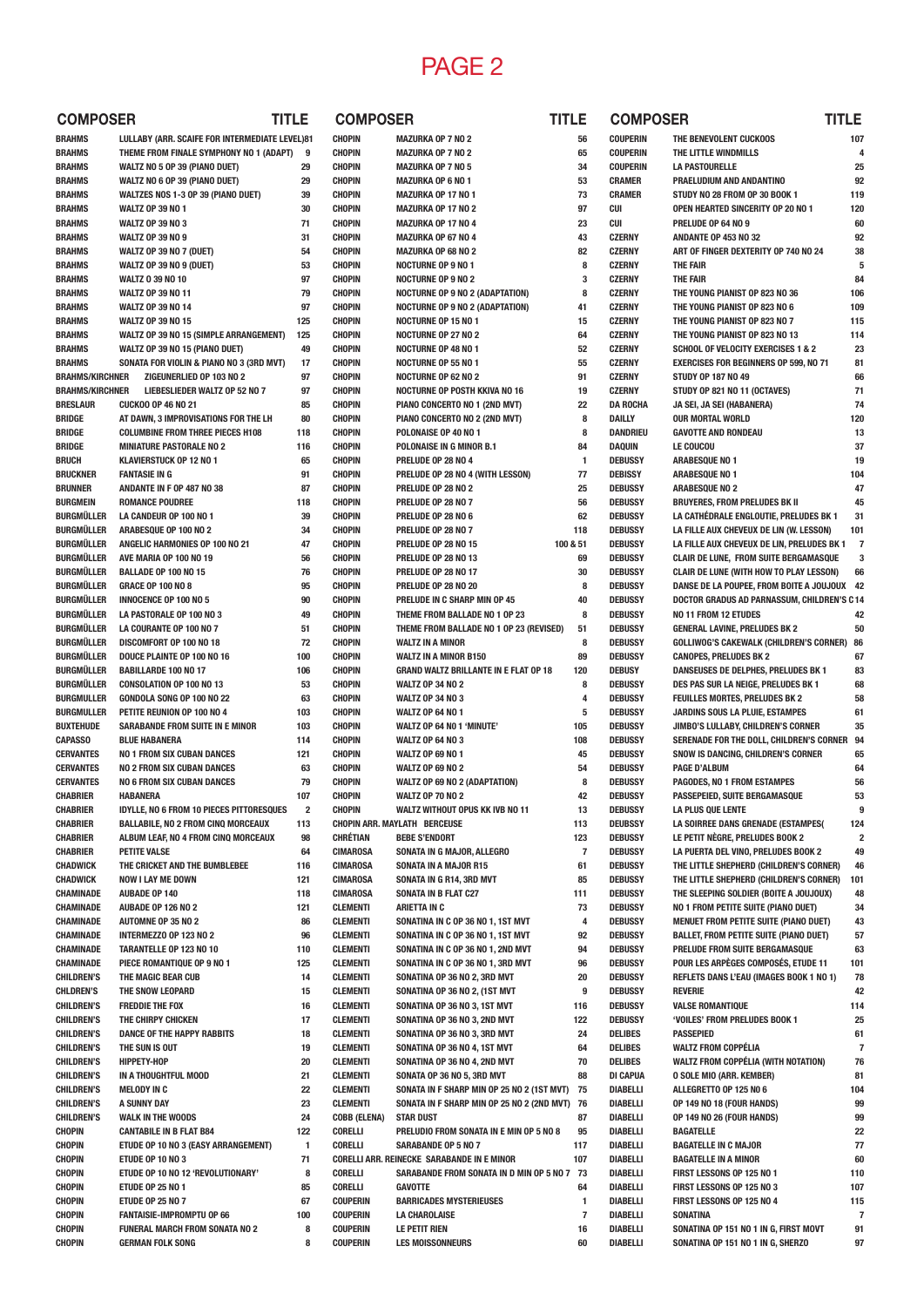## PAGE 2

| <b>COMPOSER</b>                        |                                                                    | TITLE                   | <b>COMPOSER</b>                    |                                                                    | TITLE                                   | <b>COMPOS</b>                    |
|----------------------------------------|--------------------------------------------------------------------|-------------------------|------------------------------------|--------------------------------------------------------------------|-----------------------------------------|----------------------------------|
| <b>BRAHMS</b>                          | LULLABY (ARR. SCAIFE FOR INTERMEDIATE LEVEL)81                     |                         | <b>CHOPIN</b>                      | <b>MAZURKA OP 7 NO 2</b>                                           | 56                                      | <b>COUPERIN</b>                  |
| <b>BRAHMS</b>                          | THEME FROM FINALE SYMPHONY NO 1 (ADAPT)                            | 9                       | <b>CHOPIN</b>                      | <b>MAZURKA OP 7 NO 2</b>                                           | 65                                      | <b>COUPERIN</b>                  |
| <b>BRAHMS</b>                          | WALTZ NO 5 OP 39 (PIANO DUET)                                      | 29                      | <b>CHOPIN</b>                      | <b>MAZURKA OP 7 NO 5</b>                                           | 34                                      | <b>COUPERIN</b>                  |
| <b>BRAHMS</b>                          | WALTZ NO 6 OP 39 (PIANO DUET)                                      | 29                      | <b>CHOPIN</b>                      | <b>MAZURKA OP 6 NO 1</b>                                           | 53                                      | <b>CRAMER</b>                    |
| <b>BRAHMS</b><br><b>BRAHMS</b>         | WALTZES NOS 1-3 OP 39 (PIANO DUET)<br><b>WALTZ OP 39 NO 1</b>      | 39<br>30                | <b>CHOPIN</b><br><b>CHOPIN</b>     | <b>MAZURKA OP 17 NO 1</b><br><b>MAZURKA OP 17 NO 2</b>             | 73<br>97                                | <b>CRAMER</b><br><b>CUI</b>      |
| <b>BRAHMS</b>                          | <b>WALTZ OP 39 NO 3</b>                                            | 71                      | <b>CHOPIN</b>                      | <b>MAZURKA OP 17 NO 4</b>                                          | 23                                      | <b>CUI</b>                       |
| <b>BRAHMS</b>                          | <b>WALTZ OP 39 NO 9</b>                                            | 31                      | <b>CHOPIN</b>                      | <b>MAZURKA OP 67 NO 4</b>                                          | 43                                      | <b>CZERNY</b>                    |
| <b>BRAHMS</b>                          | WALTZ OP 39 NO 7 (DUET)                                            | 54                      | <b>CHOPIN</b>                      | <b>MAZURKA OP 68 NO 2</b>                                          | 82                                      | <b>CZERNY</b>                    |
| <b>BRAHMS</b>                          | WALTZ OP 39 NO 9 (DUET)                                            | 53                      | <b>CHOPIN</b>                      | <b>NOCTURNE OP 9 NO 1</b>                                          | 8                                       | <b>CZERNY</b>                    |
| <b>BRAHMS</b>                          | <b>WALTZ 0 39 NO 10</b>                                            | 97                      | <b>CHOPIN</b>                      | <b>NOCTURNE OP 9 NO 2</b>                                          | 3                                       | <b>CZERNY</b>                    |
| <b>BRAHMS</b>                          | <b>WALTZ OP 39 NO 11</b>                                           | 79                      | <b>CHOPIN</b>                      | <b>NOCTURNE OP 9 NO 2 (ADAPTATION)</b>                             | 8                                       | <b>CZERNY</b>                    |
| <b>BRAHMS</b>                          | <b>WALTZ OP 39 NO 14</b>                                           | 97                      | <b>CHOPIN</b>                      | <b>NOCTURNE OP 9 NO 2 (ADAPTATION)</b>                             | 41                                      | <b>CZERNY</b>                    |
| <b>BRAHMS</b><br><b>BRAHMS</b>         | <b>WALTZ OP 39 NO 15</b><br>WALTZ OP 39 NO 15 (SIMPLE ARRANGEMENT) | 125<br>125              | <b>CHOPIN</b><br><b>CHOPIN</b>     | <b>NOCTURNE OP 15 NO 1</b><br><b>NOCTURNE OP 27 NO 2</b>           | 15<br>64                                | <b>CZERNY</b><br><b>CZERNY</b>   |
| <b>BRAHMS</b>                          | WALTZ OP 39 NO 15 (PIANO DUET)                                     | 49                      | <b>CHOPIN</b>                      | <b>NOCTURNE OP 48 NO 1</b>                                         | 52                                      | <b>CZERNY</b>                    |
| <b>BRAHMS</b>                          | SONATA FOR VIOLIN & PIANO NO 3 (3RD MVT)                           | 17                      | <b>CHOPIN</b>                      | <b>NOCTURNE OP 55 NO 1</b>                                         | 55                                      | <b>CZERNY</b>                    |
| <b>BRAHMS/KIRCHNER</b>                 | ZIGEUNERLIED OP 103 NO 2                                           | 97                      | <b>CHOPIN</b>                      | <b>NOCTURNE OP 62 NO 2</b>                                         | 91                                      | <b>CZERNY</b>                    |
| <b>BRAHMS/KIRCHNER</b>                 | LIEBESLIEDER WALTZ OP 52 NO 7                                      | 97                      | <b>CHOPIN</b>                      | <b>NOCTURNE OP POSTH KKIVA NO 16</b>                               | 19                                      | <b>CZERNY</b>                    |
| <b>BRESLAUR</b>                        | <b>CUCKOO OP 46 NO 21</b>                                          | 85                      | <b>CHOPIN</b>                      | PIANO CONCERTO NO 1 (2ND MVT)                                      | 22                                      | <b>DA ROCHA</b>                  |
| <b>BRIDGE</b>                          | AT DAWN, 3 IMPROVISATIONS FOR THE LH                               | 80                      | <b>CHOPIN</b>                      | PIANO CONCERTO NO 2 (2ND MVT)                                      | 8                                       | <b>DAILLY</b>                    |
| <b>BRIDGE</b>                          | <b>COLUMBINE FROM THREE PIECES H108</b>                            | 118                     | <b>CHOPIN</b>                      | POLONAISE OP 40 NO 1                                               | 8                                       | <b>DANDRIEU</b>                  |
| <b>BRIDGE</b>                          | <b>MINIATURE PASTORALE NO 2</b>                                    | 116                     | <b>CHOPIN</b>                      | POLONAISE IN G MINOR B.1                                           | 84                                      | DAQUIN                           |
| <b>BRUCH</b>                           | KLAVIERSTUCK OP 12 NO 1                                            | 65<br>91                | CHOPIN<br><b>CHOPIN</b>            | PRELUDE OP 28 NO 4                                                 | 1                                       | <b>DEBUSSY</b><br><b>DEBISSY</b> |
| <b>BRUCKNER</b><br><b>BRUNNER</b>      | <b>FANTASIE IN G</b><br>ANDANTE IN F OP 487 NO 38                  | 87                      | <b>CHOPIN</b>                      | PRELUDE OP 28 NO 4 (WITH LESSON)<br>PRELUDE OP 28 NO 2             | 77<br>25                                | <b>DEBUSSY</b>                   |
| <b>BURGMEIN</b>                        | <b>ROMANCE POUDREE</b>                                             | 118                     | <b>CHOPIN</b>                      | PRELUDE OP 28 NO 7                                                 | 56                                      | <b>DEBUSSY</b>                   |
| <b>BURGMÜLLER</b>                      | LA CANDEUR OP 100 NO 1                                             | 39                      | <b>CHOPIN</b>                      | PRELUDE OP 28 NO 6                                                 | 62                                      | <b>DEBUSSY</b>                   |
| <b>BURGMÜLLER</b>                      | ARABESQUE OP 100 NO 2                                              | 34                      | <b>CHOPIN</b>                      | PRELUDE OP 28 NO 7                                                 | 118                                     | <b>DEBUSSY</b>                   |
| <b>BURGMÜLLER</b>                      | ANGELIC HARMONIES OP 100 NO 21                                     | 47                      | <b>CHOPIN</b>                      | PRELUDE OP 28 NO 15                                                | 100 & 51                                | <b>DEBUSSY</b>                   |
| <b>BURGMÜLLER</b>                      | AVE MARIA OP 100 NO 19                                             | 56                      | <b>CHOPIN</b>                      | PRELUDE OP 28 NO 13                                                | 69                                      | <b>DEBUSSY</b>                   |
| <b>BURGMÜLLER</b>                      | <b>BALLADE OP 100 NO 15</b>                                        | 76                      | <b>CHOPIN</b>                      | PRELUDE OP 28 NO 17                                                | 30                                      | <b>DEBUSSY</b>                   |
| <b>BURGMÜLLER</b>                      | <b>GRACE OP 100 NO 8</b>                                           | 95                      | <b>CHOPIN</b>                      | PRELUDE OP 28 NO 20                                                | 8                                       | <b>DEBUSSY</b>                   |
| <b>BURGMÜLLER</b>                      | <b>INNOCENCE OP 100 NO 5</b>                                       | 90                      | <b>CHOPIN</b>                      | PRELUDE IN C SHARP MIN OP 45                                       | 40                                      | <b>DEBUSSY</b>                   |
| <b>BURGMÜLLER</b>                      | LA PASTORALE OP 100 NO 3                                           | 49                      | <b>CHOPIN</b>                      | THEME FROM BALLADE NO 1 OP 23                                      | 8                                       | <b>DEBUSSY</b>                   |
| <b>BURGMÜLLER</b><br><b>BURGMÜLLER</b> | LA COURANTE OP 100 NO 7<br>DISCOMFORT OP 100 NO 18                 | 51<br>72                | <b>CHOPIN</b><br><b>CHOPIN</b>     | THEME FROM BALLADE NO 1 OP 23 (REVISED)<br><b>WALTZ IN A MINOR</b> | 51<br>8                                 | <b>DEBUSSY</b><br><b>DEBUSSY</b> |
| <b>BURGMÜLLER</b>                      | DOUCE PLAINTE OP 100 NO 16                                         | 100                     | <b>CHOPIN</b>                      | <b>WALTZ IN A MINOR B150</b>                                       | 89                                      | <b>DEBUSSY</b>                   |
| <b>BURGMÜLLER</b>                      | <b>BABILLARDE 100 NO 17</b>                                        | 106                     | <b>CHOPIN</b>                      | <b>GRAND WALTZ BRILLANTE IN E FLAT OP 18</b>                       | 120                                     | <b>DEBUSY</b>                    |
| <b>BURGMÜLLER</b>                      | <b>CONSOLATION OP 100 NO 13</b>                                    | 53                      | <b>CHOPIN</b>                      | <b>WALTZ OP 34 NO 2</b>                                            | 8                                       | <b>DEBUSSY</b>                   |
| <b>BURGMULLER</b>                      | GONDOLA SONG OP 100 NO 22                                          | 63                      | <b>CHOPIN</b>                      | <b>WALTZ OP 34 NO 3</b>                                            | 4                                       | <b>DEBUSSY</b>                   |
| <b>BURGMULLER</b>                      | PETITE REUNION OP 100 NO 4                                         | 103                     | <b>CHOPIN</b>                      | <b>WALTZ OP 64 NO 1</b>                                            | 5                                       | <b>DEBUSSY</b>                   |
| <b>BUXTEHUDE</b>                       | SARABANDE FROM SUITE IN E MINOR                                    | 103                     | <b>CHOPIN</b>                      | WALTZ OP 64 NO 1 'MINUTE'                                          | 105                                     | <b>DEBUSSY</b>                   |
| <b>CAPASSO</b>                         | <b>BLUE HABANERA</b>                                               | 114                     | <b>CHOPIN</b>                      | <b>WALTZ OP 64 NO 3</b>                                            | 108                                     | <b>DEBUSSY</b>                   |
| <b>CERVANTES</b>                       | <b>NO 1 FROM SIX CUBAN DANCES</b>                                  | 121                     | <b>CHOPIN</b>                      | <b>WALTZ OP 69 NO 1</b>                                            | 45                                      | <b>DEBUSSY</b>                   |
| <b>CERVANTES</b>                       | <b>NO 2 FROM SIX CUBAN DANCES</b>                                  | 63                      | <b>CHOPIN</b>                      | <b>WALTZ OP 69 NO 2</b>                                            | 54                                      | <b>DEBUSSY</b>                   |
| <b>CERVANTES</b><br><b>CHABRIER</b>    | <b>NO 6 FROM SIX CUBAN DANCES</b><br><b>HABANERA</b>               | 79<br>107               | <b>CHOPIN</b><br><b>CHOPIN</b>     | <b>WALTZ OP 69 NO 2 (ADAPTATION)</b><br><b>WALTZ OP 70 NO 2</b>    | 8<br>42                                 | <b>DEBUSSY</b><br><b>DEBUSSY</b> |
| CHABRIER                               | IDYLLE, NO 6 FROM 10 PIECES PITTORESQUES                           | $\overline{\mathbf{2}}$ | <b>CHOPIN</b>                      | WALTZ WITHOUT OPUS KK IVB NO 11                                    | 13                                      | <b>DEBUSSY</b>                   |
| <b>CHABRIER</b>                        | <b>BALLABILE, NO 2 FROM CINQ MORCEAUX</b>                          | 113                     |                                    | <b>CHOPIN ARR. MAYLATH BERCEUSE</b>                                | 113                                     | <b>DEUBSSY</b>                   |
| <b>CHABRIER</b>                        | ALBUM LEAF, NO 4 FROM CINQ MORCEAUX                                | 98                      | CHRÉTIAN                           | <b>BEBE S'ENDORT</b>                                               | 123                                     | <b>DEBUSSY</b>                   |
| <b>CHABRIER</b>                        | <b>PETITE VALSE</b>                                                | 64                      | <b>CIMAROSA</b>                    | SONATA IN G MAJOR, ALLEGRO                                         | $\overline{\mathbf{r}}$                 | <b>DEBUSSY</b>                   |
| <b>CHADWICK</b>                        | THE CRICKET AND THE BUMBLEBEE                                      | 116                     | <b>CIMAROSA</b>                    | <b>SONATA IN A MAJOR R15</b>                                       | 61                                      | <b>DEBUSSY</b>                   |
| <b>CHADWICK</b>                        | <b>NOW I LAY ME DOWN</b>                                           | 121                     | <b>CIMAROSA</b>                    | SONATA IN G R14, 3RD MVT                                           | 85                                      | <b>DEBUSSY</b>                   |
| CHAMINADE                              | <b>AUBADE OP 140</b>                                               | 118                     | <b>CIMAROSA</b>                    | <b>SONATA IN B FLAT C27</b>                                        | 111                                     | <b>DEBUSSY</b>                   |
| CHAMINADE                              | <b>AUBADE OP 126 NO 2</b><br><b>AUTOMNE OP 35 NO 2</b>             | 121                     | <b>CLEMENTI</b>                    | <b>ARIETTA IN C</b><br>SONATINA IN C OP 36 NO 1, 1ST MVT           | 73<br>4                                 | <b>DEBUSSY</b>                   |
| CHAMINADE<br>CHAMINADE                 | INTERMEZZO OP 123 NO 2                                             | 86<br>96                | <b>CLEMENTI</b><br><b>CLEMENTI</b> | SONATINA IN C OP 36 NO 1, 1ST MVT                                  | 92                                      | <b>DEBUSSY</b><br><b>DEBUSSY</b> |
| CHAMINADE                              | TARANTELLE OP 123 NO 10                                            | 110                     | <b>CLEMENTI</b>                    | SONATINA IN C OP 36 NO 1, 2ND MVT                                  | 94                                      | <b>DEBUSSY</b>                   |
| CHAMINADE                              | PIECE ROMANTIQUE OP 9 NO 1                                         | 125                     | <b>CLEMENTI</b>                    | SONATINA IN C OP 36 NO 1, 3RD MVT                                  | 96                                      | <b>DEBUSSY</b>                   |
| <b>CHILDREN'S</b>                      | THE MAGIC BEAR CUB                                                 | 14                      | <b>CLEMENTI</b>                    | SONATINA OP 36 NO 2, 3RD MVT                                       | 20                                      | <b>DEBUSSY</b>                   |
| <b>CHLDREN'S</b>                       | THE SNOW LEOPARD                                                   | 15                      | <b>CLEMENTI</b>                    | SONATINA OP 36 NO 2, (1ST MVT                                      | 9                                       | <b>DEBUSSY</b>                   |
| <b>CHILDREN'S</b>                      | <b>FREDDIE THE FOX</b>                                             | 16                      | <b>CLEMENTI</b>                    | SONATINA OP 36 NO 3, 1ST MVT                                       | 116                                     | <b>DEBUSSY</b>                   |
| <b>CHILDREN'S</b>                      | THE CHIRPY CHICKEN                                                 | 17                      | <b>CLEMENTI</b>                    | SONATINA OP 36 NO 3, 2ND MVT                                       | 122                                     | <b>DEBUSSY</b>                   |
| <b>CHILDREN'S</b>                      | DANCE OF THE HAPPY RABBITS                                         | 18                      | <b>CLEMENTI</b>                    | SONATINA OP 36 NO 3, 3RD MVT                                       | 24                                      | DELIBES                          |
| <b>CHILDREN'S</b><br><b>CHILDREN'S</b> | THE SUN IS OUT<br>HIPPETY-HOP                                      | 19<br>20                | <b>CLEMENTI</b><br><b>CLEMENTI</b> | SONATINA OP 36 NO 4, 1ST MVT<br>SONATINA OP 36 NO 4, 2ND MVT       | 64<br>70                                | DELIBES<br><b>DELIBES</b>        |
| <b>CHILDREN'S</b>                      | IN A THOUGHTFUL MOOD                                               | 21                      | <b>CLEMENTI</b>                    | SONATA OP 36 NO 5, 3RD MVT                                         | 88                                      | <b>DI CAPUA</b>                  |
| <b>CHILDREN'S</b>                      | <b>MELODY IN C</b>                                                 | 22                      | <b>CLEMENTI</b>                    | SONATA IN F SHARP MIN OP 25 NO 2 (1ST MVT) 75                      |                                         | DIABELLI                         |
| <b>CHILDREN'S</b>                      | A SUNNY DAY                                                        | 23                      | <b>CLEMENTI</b>                    | SONATA IN F SHARP MIN OP 25 NO 2 (2ND MVT) 76                      |                                         | DIABELLI                         |
| <b>CHILDREN'S</b>                      | <b>WALK IN THE WOODS</b>                                           | 24                      | COBB (ELENA)                       | <b>STAR DUST</b>                                                   | 87                                      | DIABELLI                         |
| <b>CHOPIN</b>                          | <b>CANTABILE IN B FLAT B84</b>                                     | 122                     | CORELLI                            | PRELUDIO FROM SONATA IN E MIN OP 5 NO 8                            | 95                                      | DIABELLI                         |
| CHOPIN                                 | ETUDE OP 10 NO 3 (EASY ARRANGEMENT)                                | 1                       | CORELLI                            | <b>SARABANDE OP 5 NO 7</b>                                         | 117                                     | DIABELLI                         |
| <b>CHOPIN</b>                          | ETUDE OP 10 NO 3                                                   | 71                      |                                    | CORELLI ARR. REINECKE SARABANDE IN E MINOR                         | 107                                     | DIABELLI                         |
| <b>CHOPIN</b>                          | ETUDE OP 10 NO 12 'REVOLUTIONARY'                                  | 8                       | CORELLI                            | SARABANDE FROM SONATA IN D MIN OP 5 NO 7 73                        |                                         | DIABELLI                         |
| <b>CHOPIN</b>                          | <b>ETUDE OP 25 NO 1</b>                                            | 85                      | CORELLI                            | <b>GAVOTTE</b>                                                     | 64                                      | DIABELLI                         |
| <b>CHOPIN</b><br><b>CHOPIN</b>         | <b>ETUDE OP 25 NO 7</b><br><b>FANTAISIE-IMPROMPTU OP 66</b>        | 67<br>100               | <b>COUPERIN</b><br><b>COUPERIN</b> | <b>BARRICADES MYSTERIEUSES</b><br><b>LA CHAROLAISE</b>             | $\mathbf{1}$<br>$\overline{\mathbf{r}}$ | DIABELLI<br>DIABELLI             |
| <b>CHOPIN</b>                          | <b>FUNERAL MARCH FROM SONATA NO 2</b>                              | 8                       | <b>COUPERIN</b>                    | <b>LE PETIT RIEN</b>                                               | 16                                      | DIABELLI                         |
| <b>CHOPIN</b>                          | <b>GERMAN FOLK SONG</b>                                            | 8                       | <b>COUPERIN</b>                    | <b>LES MOISSONNEURS</b>                                            | 60                                      | DIABELLI                         |

| <b>COMPOSER</b>                  |                                                                                            | TITLE |            |
|----------------------------------|--------------------------------------------------------------------------------------------|-------|------------|
| COUPERIN                         | THE BENEVOLENT CUCKOOS                                                                     |       | 107        |
| <b>COUPERIN</b>                  | THE LITTLE WINDMILLS                                                                       |       | 4          |
| COUPERIN                         | <b>LA PASTOURELLE</b>                                                                      |       | 25         |
| <b>CRAMER</b><br><b>CRAMER</b>   | PRAELUDIUM AND ANDANTINO<br>STUDY NO 28 FROM OP 30 BOOK 1                                  |       | 92<br>119  |
| CUI                              | OPEN HEARTED SINCERITY OP 20 NO 1                                                          |       | 120        |
| CUI                              | PRELUDE OP 64 NO 9                                                                         |       | 60         |
| <b>CZERNY</b>                    | <b>ANDANTE OP 453 NO 32</b>                                                                |       | 92         |
| <b>CZERNY</b><br><b>CZERNY</b>   | ART OF FINGER DEXTERITY OP 740 NO 24<br><b>THE FAIR</b>                                    |       | 38<br>5    |
| <b>CZERNY</b>                    | <b>THE FAIR</b>                                                                            |       | 84         |
| <b>CZERNY</b>                    | THE YOUNG PIANIST OP 823 NO 36                                                             |       | 106        |
| <b>CZERNY</b>                    | THE YOUNG PIANIST OP 823 NO 6                                                              |       | 109        |
| <b>CZERNY</b>                    | THE YOUNG PIANIST OP 823 NO 7<br>THE YOUNG PIANIST OP 823 NO 13                            |       | 115        |
| <b>CZERNY</b><br><b>CZERNY</b>   | <b>SCHOOL OF VELOCITY EXERCISES 1 &amp; 2</b>                                              |       | 114<br>23  |
| <b>CZERNY</b>                    | <b>EXERCISES FOR BEGINNERS OP 599, NO 71</b>                                               |       | 81         |
| <b>CZERNY</b>                    | <b>STUDY OP 187 NO 49</b>                                                                  |       | 66         |
| <b>CZERNY</b>                    | STUDY OP 821 NO 11 (OCTAVES)                                                               |       | 71         |
| <b>DA ROCHA</b><br>DAILLY        | JA SEI, JA SEI (HABANERA)<br><b>OUR MORTAL WORLD</b>                                       |       | 74<br>120  |
| <b>DANDRIEU</b>                  | <b>GAVOTTE AND RONDEAU</b>                                                                 |       | 13         |
| DAQUIN                           | <b>LE COUCOU</b>                                                                           |       | 37         |
| DEBUSSY                          | <b>ARABESQUE NO 1</b>                                                                      |       | 19         |
| <b>DEBISSY</b>                   | <b>ARABESQUE NO 1</b>                                                                      |       | 104        |
| DEBUSSY<br>DEBUSSY               | <b>ARABESQUE NO 2</b><br><b>BRUYERES, FROM PRELUDES BK II</b>                              |       | 47<br>45   |
| <b>DEBUSSY</b>                   | LA CATHÉDRALE ENGLOUTIE, PRELUDES BK 1                                                     |       | 31         |
| <b>DEBUSSY</b>                   | LA FILLE AUX CHEVEUX DE LIN (W. LESSON)                                                    |       | 101        |
| DEBUSSY                          | LA FILLE AUX CHEVEUX DE LIN, PRELUDES BK 1                                                 |       | 7          |
| DEBUSSY                          | CLAIR DE LUNE, FROM SUITE BERGAMASQUE                                                      |       | 3          |
| DEBUSSY<br>DEBUSSY               | <b>CLAIR DE LUNE (WITH HOW TO PLAY LESSON)</b><br>DANSE DE LA POUPEE, FROM BOITE A JOUJOUX |       | 66<br>42   |
| DEBUSSY                          | DOCTOR GRADUS AD PARNASSUM, CHILDREN'S C14                                                 |       |            |
| DEBUSSY                          | NO 11 FROM 12 ETUDES                                                                       |       | 42         |
| DEBUSSY                          | <b>GENERAL LAVINE, PRELUDES BK 2</b>                                                       |       | 50         |
| DEBUSSY<br>DEBUSSY               | <b>GOLLIWOG'S CAKEWALK (CHILDREN'S CORNER)</b><br><b>CANOPES, PRELUDES BK 2</b>            |       | 86<br>67   |
| DEBUSY                           | DANSEUSES DE DELPHES, PRELUDES BK 1                                                        |       | 83         |
| DEBUSSY                          | DES PAS SUR LA NEIGE, PRELUDES BK 1                                                        |       | 68         |
| DEBUSSY                          | FEUILLES MORTES, PRELUDES BK 2                                                             |       | 58         |
| DEBUSSY<br><b>DEBUSSY</b>        | JARDINS SOUS LA PLUIE, ESTAMPES<br>JIMBO'S LULLABY, CHILDREN'S CORNER                      |       | 61<br>35   |
| DEBUSSY                          | SERENADE FOR THE DOLL, CHILDREN'S CORNER                                                   |       | 94         |
| <b>DEBUSSY</b>                   | SNOW IS DANCING, CHILDREN'S CORNER                                                         |       | 65         |
| <b>DEBUSSY</b>                   | <b>PAGE D'ALBUM</b>                                                                        |       | 64         |
| <b>DEBUSSY</b>                   | PAGODES, NO 1 FROM ESTAMPES                                                                |       | 56         |
| <b>DEBUSSY</b><br>DEBUSSY        | PASSEPEIED, SUITE BERGAMASQUE<br>LA PLUS QUE LENTE                                         |       | 53<br>9    |
| DEUBSSY                          | LA SOIRREE DANS GRENADE (ESTAMPES)                                                         |       | 124        |
| DEBUSSY                          | LE PETIT NÈGRE. PRELUDES BOOK 2                                                            |       | 2          |
| DEBUSSY                          | LA PUERTA DEL VINO, PRELUDES BOOK 2                                                        |       | 49         |
| <b>DEBUSSY</b><br><b>DEBUSSY</b> | THE LITTLE SHEPHERD (CHILDREN'S CORNER)<br>THE LITTLE SHEPHERD (CHILDREN'S CORNER)         |       | 46<br>101  |
| <b>DEBUSSY</b>                   | THE SLEEPING SOLDIER (BOITE A JOUJOUX)                                                     |       | 48         |
| DEBUSSY                          | NO 1 FROM PETITE SUITE (PIANO DUET)                                                        |       | 34         |
| DEBUSSY                          | MENUET FROM PETITE SUITE (PIANO DUET)                                                      |       | 43         |
| <b>DEBUSSY</b>                   | <b>BALLET, FROM PETITE SUITE (PIANO DUET)</b><br>PRELUDE FROM SUITE BERGAMASQUE            |       | 57         |
| DEBUSSY<br>DEBUSSY               | POUR LES ARPÈGES COMPOSÉS. ETUDE 11                                                        |       | 63<br>101  |
| DEBUSSY                          | REFLETS DANS L'EAU (IMAGES BOOK 1 NO 1)                                                    |       | 78         |
| <b>DEBUSSY</b>                   | <b>REVERIE</b>                                                                             |       | 42         |
| DEBUSSY                          | <b>VALSE ROMANTIQUE</b>                                                                    |       | 114        |
| DEBUSSY<br>DELIBES               | 'VOILES' FROM PRELUDES BOOK 1<br><b>PASSEPIED</b>                                          |       | 25<br>61   |
| DELIBES                          | <b>WALTZ FROM COPPÉLIA</b>                                                                 |       | 7          |
| DELIBES                          | <b>WALTZ FROM COPPÉLIA (WITH NOTATION)</b>                                                 |       | 76         |
| DI CAPUA                         | <b>0 SOLE MIO (ARR. KEMBER)</b>                                                            |       | 81         |
| DIABELLI                         | ALLEGRETTO OP 125 NO 6<br>OP 149 NO 18 (FOUR HANDS)                                        |       | 104        |
| DIABELLI<br>DIABELLI             | OP 149 NO 26 (FOUR HANDS)                                                                  |       | 99<br>99   |
| DIABELLI                         | <b>BAGATELLE</b>                                                                           |       | 22         |
| DIABELLI                         | <b>BAGATELLE IN C MAJOR</b>                                                                |       | 77         |
| DIABELLI                         | <b>BAGATELLE IN A MINOR</b>                                                                |       | 60         |
| DIABELLI<br>DIABELLI             | FIRST LESSONS OP 125 NO 1<br>FIRST LESSONS OP 125 NO 3                                     |       | 110<br>107 |
| DIABELLI                         | FIRST LESSONS OP 125 NO 4                                                                  |       | 115        |
| DIABELLI                         | <b>SONATINA</b>                                                                            |       | 7          |
| DIABELLI                         | SONATINA OP 151 NO 1 IN G, FIRST MOVT                                                      |       | 91         |
| DIABELLI                         | SONATINA OP 151 NO 1 IN G, SHERZO                                                          |       | 97         |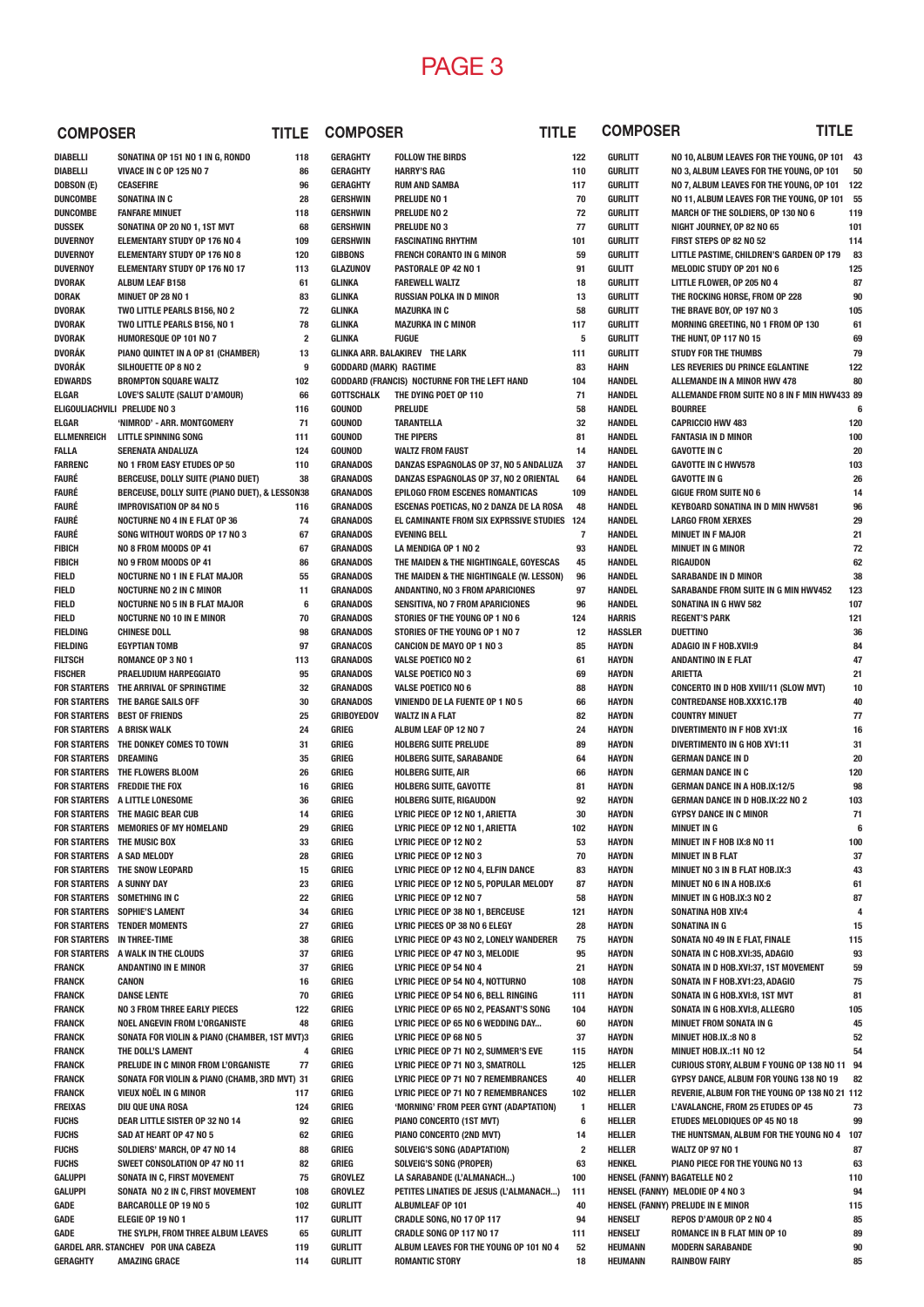## PAGE 3

**GURLITT ROMANTIC STORY 18**

| <b>COMPOSER</b>                    |                                                                            | <b>TITLE</b>            | <b>COMPOSER</b>                    |                                                               | TITLE                   | <b>COMPOSER</b>                  | TITLE                                                                            |  |
|------------------------------------|----------------------------------------------------------------------------|-------------------------|------------------------------------|---------------------------------------------------------------|-------------------------|----------------------------------|----------------------------------------------------------------------------------|--|
| <b>DIABELLI</b>                    | SONATINA OP 151 NO 1 IN G, RONDO                                           | 118                     | <b>GERAGHTY</b>                    | <b>FOLLOW THE BIRDS</b>                                       | 122                     | <b>GURLITT</b>                   | NO 10, ALBUM LEAVES FOR THE YOUNG, OP 101                                        |  |
| <b>DIABELLI</b>                    | VIVACE IN C OP 125 NO 7                                                    | 86                      | <b>GERAGHTY</b>                    | <b>HARRY'S RAG</b>                                            | 110                     | <b>GURLITT</b>                   | NO 3, ALBUM LEAVES FOR THE YOUNG, OP 101                                         |  |
| <b>DOBSON (E)</b>                  | CEASEFIRE                                                                  | 96                      | <b>GERAGHTY</b>                    | <b>RUM AND SAMBA</b>                                          | 117                     | <b>GURLITT</b>                   | NO 7, ALBUM LEAVES FOR THE YOUNG, OP 101                                         |  |
| <b>DUNCOMBE</b>                    | SONATINA IN C                                                              | 28                      | <b>GERSHWIN</b>                    | PRELUDE NO 1                                                  | 70                      | <b>GURLITT</b>                   | NO 11, ALBUM LEAVES FOR THE YOUNG, OP 101                                        |  |
| <b>DUNCOMBE</b>                    | <b>FANFARE MINUET</b>                                                      | 118                     | <b>GERSHWIN</b>                    | <b>PRELUDE NO 2</b>                                           | 72                      | <b>GURLITT</b>                   | MARCH OF THE SOLDIERS, OP 130 NO 6                                               |  |
| <b>DUSSEK</b>                      | SONATINA OP 20 NO 1, 1ST MVT                                               | 68                      | <b>GERSHWIN</b>                    | <b>PRELUDE NO 3</b>                                           | 77                      | <b>GURLITT</b>                   | NIGHT JOURNEY, OP 82 NO 65                                                       |  |
| <b>DUVERNOY</b><br><b>DUVERNOY</b> | ELEMENTARY STUDY OP 176 NO 4<br><b>ELEMENTARY STUDY OP 176 NO 8</b>        | 109<br>120              | <b>GERSHWIN</b><br><b>GIBBONS</b>  | <b>FASCINATING RHYTHM</b><br><b>FRENCH CORANTO IN G MINOR</b> | 101<br>59               | <b>GURLITT</b><br><b>GURLITT</b> | FIRST STEPS OP 82 NO 52<br>LITTLE PASTIME, CHILDREN'S GARDEN OP 179              |  |
| <b>DUVERNOY</b>                    | ELEMENTARY STUDY OP 176 NO 17                                              | 113                     | GLAZUNOV                           | PASTORALE OP 42 NO 1                                          | 91                      | <b>GULITT</b>                    | MELODIC STUDY OP 201 NO 6                                                        |  |
| <b>DVORAK</b>                      | <b>ALBUM LEAF B158</b>                                                     | 61                      | GLINKA                             | <b>FAREWELL WALTZ</b>                                         | 18                      | <b>GURLITT</b>                   | LITTLE FLOWER, OP 205 NO 4                                                       |  |
| DORAK                              | MINUET OP 28 NO 1                                                          | 83                      | GLINKA                             | <b>RUSSIAN POLKA IN D MINOR</b>                               | 13                      | <b>GURLITT</b>                   | THE ROCKING HORSE, FROM OP 228                                                   |  |
| <b>DVORAK</b>                      | TWO LITTLE PEARLS B156, NO 2                                               | 72                      | <b>GLINKA</b>                      | <b>MAZURKA IN C</b>                                           | 58                      | <b>GURLITT</b>                   | THE BRAVE BOY, OP 197 NO 3                                                       |  |
| <b>DVORAK</b>                      | TWO LITTLE PEARLS B156, NO 1                                               | 78                      | <b>GLINKA</b>                      | <b>MAZURKA IN C MINOR</b>                                     | 117                     | <b>GURLITT</b>                   | MORNING GREETING, NO 1 FROM OP 130                                               |  |
| <b>DVORAK</b>                      | HUMORESQUE OP 101 NO 7                                                     | $\overline{\mathbf{2}}$ | <b>GLINKA</b>                      | <b>FUGUE</b>                                                  | 5                       | <b>GURLITT</b>                   | THE HUNT, OP 117 NO 15                                                           |  |
| DVORÁK                             | PIANO QUINTET IN A OP 81 (CHAMBER)                                         | 13                      |                                    | <b>GLINKA ARR. BALAKIREV THE LARK</b>                         | 111                     | <b>GURLITT</b>                   | <b>STUDY FOR THE THUMBS</b>                                                      |  |
| DVORÁK                             | SILHOUETTE OP 8 NO 2                                                       | 9                       | <b>GODDARD (MARK) RAGTIME</b>      |                                                               | 83                      | <b>HAHN</b>                      | LES REVERIES DU PRINCE EGLANTINE                                                 |  |
| <b>EDWARDS</b>                     | <b>BROMPTON SQUARE WALTZ</b>                                               | 102                     |                                    | GODDARD (FRANCIS) NOCTURNE FOR THE LEFT HAND                  | 104                     | <b>HANDEL</b>                    | <b>ALLEMANDE IN A MINOR HWV 478</b>                                              |  |
| <b>ELGAR</b>                       | LOVE'S SALUTE (SALUT D'AMOUR)                                              | 66                      | <b>GOTTSCHALK</b>                  | THE DYING POET OP 110                                         | 71                      | <b>HANDEL</b>                    | ALLEMANDE FROM SUITE NO 8 IN F MIN HWV433                                        |  |
|                                    | ELIGOULIACHVILI PRELUDE NO 3                                               | 116                     | GOUNOD                             | <b>PRELUDE</b>                                                | 58                      | <b>HANDEL</b>                    | <b>BOURREE</b>                                                                   |  |
| <b>ELGAR</b>                       | 'NIMROD' - ARR. MONTGOMERY                                                 | 71                      | GOUNOD                             | TARANTELLA                                                    | 32                      | <b>HANDEL</b>                    | <b>CAPRICCIO HWV 483</b>                                                         |  |
| <b>ELLMENREICH</b>                 | LITTLE SPINNING SONG                                                       | 111                     | GOUNOD                             | <b>THE PIPERS</b>                                             | 81                      | <b>HANDEL</b>                    | <b>FANTASIA IN D MINOR</b>                                                       |  |
| <b>FALLA</b>                       | <b>SERENATA ANDALUZA</b>                                                   | 124                     | GOUNOD                             | <b>WALTZ FROM FAUST</b>                                       | 14                      | <b>HANDEL</b>                    | <b>GAVOTTE IN C</b>                                                              |  |
| <b>FARRENC</b>                     | NO 1 FROM EASY ETUDES OP 50                                                | 110                     | <b>GRANADOS</b>                    | DANZAS ESPAGNOLAS OP 37, NO 5 ANDALUZA                        | 37                      | <b>HANDEL</b>                    | <b>GAVOTTE IN C HWV578</b>                                                       |  |
| FAURÉ                              | BERCEUSE, DOLLY SUITE (PIANO DUET)                                         | 38                      | <b>GRANADOS</b>                    | DANZAS ESPAGNOLAS OP 37, NO 2 ORIENTAL                        | 64                      | <b>HANDEL</b>                    | <b>GAVOTTE IN G</b>                                                              |  |
| <b>FAURÉ</b>                       | BERCEUSE, DOLLY SUITE (PIANO DUET), & LESSON38                             |                         | <b>GRANADOS</b>                    | EPILOGO FROM ESCENES ROMANTICAS                               | 109                     | <b>HANDEL</b>                    | <b>GIGUE FROM SUITE NO 6</b>                                                     |  |
| <b>FAURÉ</b>                       | <b>IMPROVISATION OP 84 NO 5</b>                                            | 116                     | <b>GRANADOS</b>                    | ESCENAS POETICAS, NO 2 DANZA DE LA ROSA                       | 48                      | <b>HANDEL</b>                    | <b>KEYBOARD SONATINA IN D MIN HWV581</b>                                         |  |
| <b>FAURÉ</b>                       | <b>NOCTURNE NO 4 IN E FLAT OP 36</b>                                       | 74                      | <b>GRANADOS</b>                    | EL CAMINANTE FROM SIX EXPRSSIVE STUDIES 124                   |                         | <b>HANDEL</b>                    | <b>LARGO FROM XERXES</b>                                                         |  |
| <b>FAURÉ</b>                       | SONG WITHOUT WORDS OP 17 NO 3                                              | 67                      | <b>GRANADOS</b>                    | <b>EVENING BELL</b>                                           | $\overline{7}$          | <b>HANDEL</b>                    | <b>MINUET IN F MAJOR</b>                                                         |  |
| <b>FIBICH</b>                      | NO 8 FROM MOODS OP 41                                                      | 67                      | <b>GRANADOS</b>                    | LA MENDIGA OP 1 NO 2                                          | 93                      | <b>HANDEL</b>                    | MINUET IN G MINOR                                                                |  |
| <b>FIBICH</b>                      | NO 9 FROM MOODS OP 41                                                      | 86                      | <b>GRANADOS</b>                    | THE MAIDEN & THE NIGHTINGALE, GOYESCAS                        | 45                      | <b>HANDEL</b>                    | RIGAUDON                                                                         |  |
| <b>FIELD</b>                       | <b>NOCTURNE NO 1 IN E FLAT MAJOR</b>                                       | 55                      | <b>GRANADOS</b>                    | THE MAIDEN & THE NIGHTINGALE (W. LESSON)                      | 96                      | <b>HANDEL</b>                    | <b>SARABANDE IN D MINOR</b>                                                      |  |
| <b>FIELD</b>                       | <b>NOCTURNE NO 2 IN C MINOR</b>                                            | 11                      | <b>GRANADOS</b>                    | ANDANTINO, NO 3 FROM APARICIONES                              | 97                      | <b>HANDEL</b>                    | SARABANDE FROM SUITE IN G MIN HWV452                                             |  |
| <b>FIELD</b>                       | <b>NOCTURNE NO 5 IN B FLAT MAJOR</b>                                       | 6                       | <b>GRANADOS</b>                    | SENSITIVA, NO 7 FROM APARICIONES                              | 96                      | <b>HANDEL</b>                    | SONATINA IN G HWV 582                                                            |  |
| <b>FIELD</b>                       | <b>NOCTURNE NO 10 IN E MINOR</b>                                           | 70                      | <b>GRANADOS</b>                    | STORIES OF THE YOUNG OP 1 NO 6                                | 124                     | <b>HARRIS</b>                    | <b>REGENT'S PARK</b>                                                             |  |
| <b>FIELDING</b>                    | <b>CHINESE DOLL</b>                                                        | 98                      | <b>GRANADOS</b>                    | STORIES OF THE YOUNG OP 1 NO 7                                | 12                      | <b>HASSLER</b>                   | <b>DUETTINO</b>                                                                  |  |
| <b>FIELDING</b>                    | <b>EGYPTIAN TOMB</b>                                                       | 97                      | <b>GRANACOS</b>                    | <b>CANCION DE MAYO OP 1 NO 3</b>                              | 85                      | <b>HAYDN</b>                     | <b>ADAGIO IN F HOB.XVII:9</b>                                                    |  |
| <b>FILTSCH</b>                     | ROMANCE OP 3 NO 1                                                          | 113                     | <b>GRANADOS</b>                    | <b>VALSE POETICO NO 2</b>                                     | 61                      | <b>HAYDN</b>                     | <b>ANDANTINO IN E FLAT</b>                                                       |  |
| <b>FISCHER</b>                     | PRAELUDIUM HARPEGGIATO                                                     | 95                      | <b>GRANADOS</b>                    | <b>VALSE POETICO NO 3</b>                                     | 69                      | <b>HAYDN</b>                     | <b>ARIETTA</b>                                                                   |  |
|                                    | FOR STARTERS THE ARRIVAL OF SPRINGTIME<br>FOR STARTERS THE BARGE SAILS OFF | 32<br>30                | <b>GRANADOS</b><br><b>GRANADOS</b> | <b>VALSE POETICO NO 6</b>                                     | 88<br>66                | HAYDN<br><b>HAYDN</b>            | <b>CONCERTO IN D HOB XVIII/11 (SLOW MVT)</b><br><b>CONTREDANSE HOB.XXX1C.17B</b> |  |
|                                    | <b>FOR STARTERS BEST OF FRIENDS</b>                                        | 25                      | <b>GRIBOYEDOV</b>                  | VINIENDO DE LA FUENTE OP 1 NO 5<br><b>WALTZ IN A FLAT</b>     | 82                      | HAYDN                            | <b>COUNTRY MINUET</b>                                                            |  |
| FOR STARTERS A BRISK WALK          |                                                                            | 24                      | GRIEG                              | ALBUM LEAF OP 12 NO 7                                         | 24                      | HAYDN                            | DIVERTIMENTO IN F HOB XV1:IX                                                     |  |
|                                    | FOR STARTERS THE DONKEY COMES TO TOWN                                      | 31                      | GRIEG                              | <b>HOLBERG SUITE PRELUDE</b>                                  | 89                      | HAYDN                            | DIVERTIMENTO IN G HOB XV1:11                                                     |  |
| <b>FOR STARTERS DREAMING</b>       |                                                                            | 35                      | GRIEG                              | <b>HOLBERG SUITE, SARABANDE</b>                               | 64                      | <b>HAYDN</b>                     | <b>GERMAN DANCE IN D</b>                                                         |  |
|                                    | FOR STARTERS THE FLOWERS BLOOM                                             | 26                      | GRIEG                              | <b>HOLBERG SUITE, AIR</b>                                     | 66                      | HAYDN                            | <b>GERMAN DANCE IN C</b>                                                         |  |
|                                    | FOR STARTERS FREDDIE THE FOX                                               | 16                      | GRIEG                              | <b>HOLBERG SUITE, GAVOTTE</b>                                 | 81                      | HAYDN                            | <b>GERMAN DANCE IN A HOB.IX:12/5</b>                                             |  |
|                                    | FOR STARTERS A LITTLE LONESOME                                             | 36                      | GRIEG                              | <b>HOLBERG SUITE, RIGAUDON</b>                                | 92                      | HAYDN                            | GERMAN DANCE IN D HOB.IX:22 NO 2                                                 |  |
|                                    | FOR STARTERS THE MAGIC BEAR CUB                                            | 14                      | GRIEG                              | LYRIC PIECE OP 12 NO 1, ARIETTA                               | 30                      | <b>HAYDN</b>                     | <b>GYPSY DANCE IN C MINOR</b>                                                    |  |
|                                    | FOR STARTERS MEMORIES OF MY HOMELAND                                       | 29                      | GRIEG                              | LYRIC PIECE OP 12 NO 1, ARIETTA                               | 102                     | <b>HAYDN</b>                     | <b>MINUET IN G</b>                                                               |  |
|                                    | FOR STARTERS THE MUSIC BOX                                                 | 33                      | GRIEG                              | LYRIC PIECE OP 12 NO 2                                        | 53                      | <b>HAYDN</b>                     | MINUET IN F HOB IX:8 NO 11                                                       |  |
| FOR STARTERS A SAD MELODY          |                                                                            | 28                      | GRIEG                              | LYRIC PIECE OP 12 NO 3                                        | 70                      | <b>HAYDN</b>                     | <b>MINUET IN B FLAT</b>                                                          |  |
|                                    | FOR STARTERS THE SNOW LEOPARD                                              | 15                      | GRIEG                              | LYRIC PIECE OP 12 NO 4, ELFIN DANCE                           | 83                      | <b>HAYDN</b>                     | MINUET NO 3 IN B FLAT HOB.IX:3                                                   |  |
| FOR STARTERS A SUNNY DAY           |                                                                            | 23                      | GRIEG                              | LYRIC PIECE OP 12 NO 5, POPULAR MELODY                        | 87                      | <b>HAYDN</b>                     | MINUET NO 6 IN A HOB.IX:6                                                        |  |
|                                    | FOR STARTERS SOMETHING IN C                                                | 22                      | GRIEG                              | LYRIC PIECE OP 12 NO 7                                        | 58                      | <b>HAYDN</b>                     | MINUET IN G HOB.IX:3 NO 2                                                        |  |
|                                    | <b>FOR STARTERS SOPHIE'S LAMENT</b>                                        | 34                      | GRIEG                              | LYRIC PIECE OP 38 NO 1, BERCEUSE                              | 121                     | HAYDN                            | <b>SONATINA HOB XIV:4</b>                                                        |  |
|                                    | FOR STARTERS TENDER MOMENTS                                                | 27                      | GRIEG                              | LYRIC PIECES OP 38 NO 6 ELEGY                                 | 28                      | <b>HAYDN</b>                     | SONATINA IN G                                                                    |  |
| FOR STARTERS IN THREE-TIME         |                                                                            | 38                      | GRIEG                              | LYRIC PIECE OP 43 NO 2, LONELY WANDERER                       | 75                      | HAYDN                            | SONATA NO 49 IN E FLAT, FINALE                                                   |  |
|                                    | FOR STARTERS A WALK IN THE CLOUDS                                          | 37                      | GRIEG                              | LYRIC PIECE OP 47 NO 3, MELODIE                               | 95                      | <b>HAYDN</b>                     | SONATA IN C HOB.XVI:35, ADAGIO                                                   |  |
| <b>FRANCK</b>                      | <b>ANDANTINO IN E MINOR</b>                                                | 37                      | GRIEG                              | LYRIC PIECE OP 54 NO 4                                        | 21                      | <b>HAYDN</b>                     | SONATA IN D HOB.XVI:37, 1ST MOVEMENT                                             |  |
| <b>FRANCK</b>                      | CANON                                                                      | 16                      | GRIEG                              | LYRIC PIECE OP 54 NO 4, NOTTURNO                              | 108                     | <b>HAYDN</b>                     | SONATA IN F HOB.XV1:23, ADAGIO                                                   |  |
| <b>FRANCK</b>                      | <b>DANSE LENTE</b>                                                         | 70                      | GRIEG                              | LYRIC PIECE OP 54 NO 6, BELL RINGING                          | 111                     | <b>HAYDN</b>                     | SONATA IN G HOB.XVI:8, 1ST MVT                                                   |  |
| <b>FRANCK</b>                      | NO 3 FROM THREE EARLY PIECES                                               | 122                     | GRIEG                              | LYRIC PIECE OP 65 NO 2, PEASANT'S SONG                        | 104                     | <b>HAYDN</b>                     | SONATA IN G HOB.XVI:8, ALLEGRO                                                   |  |
| <b>FRANCK</b>                      | <b>NOEL ANGEVIN FROM L'ORGANISTE</b>                                       | 48                      | GRIEG                              | LYRIC PIECE OP 65 NO 6 WEDDING DAY                            | 60                      | <b>HAYDN</b>                     | MINUET FROM SONATA IN G                                                          |  |
| <b>FRANCK</b>                      | SONATA FOR VIOLIN & PIANO (CHAMBER, 1ST MVT)3                              |                         | GRIEG                              | LYRIC PIECE OP 68 NO 5                                        | 37                      | <b>HAYDN</b>                     | MINUET HOB.IX.:8 NO 8                                                            |  |
| <b>FRANCK</b>                      | THE DOLL'S LAMENT                                                          | 4                       | GRIEG                              | LYRIC PIECE OP 71 NO 2, SUMMER'S EVE                          | 115                     | <b>HAYDN</b>                     | <b>MINUET HOB.IX.:11 NO 12</b>                                                   |  |
| <b>FRANCK</b>                      | PRELUDE IN C MINOR FROM L'ORGANISTE                                        | 77                      | GRIEG                              | LYRIC PIECE OP 71 NO 3, SMATROLL                              | 125                     | HELLER                           | CURIOUS STORY, ALBUM F YOUNG OP 138 NO 11                                        |  |
| <b>FRANCK</b>                      | SONATA FOR VIOLIN & PIANO (CHAMB, 3RD MVT) 31                              |                         | GRIEG                              | LYRIC PIECE OP 71 NO 7 REMEMBRANCES                           | 40                      | HELLER                           | GYPSY DANCE, ALBUM FOR YOUNG 138 NO 19                                           |  |
| <b>FRANCK</b>                      | VIEUX NOËL IN G MINOR                                                      | 117                     | GRIEG                              | LYRIC PIECE OP 71 NO 7 REMEMBRANCES                           | 102                     | HELLER                           | REVERIE, ALBUM FOR THE YOUNG OP 138 NO 21 1                                      |  |
| <b>FREIXAS</b>                     | DIU QUE UNA ROSA                                                           | 124                     | GRIEG                              | 'MORNING' FROM PEER GYNT (ADAPTATION)                         | $\mathbf{1}$            | HELLER                           | L'AVALANCHE, FROM 25 ETUDES OP 45                                                |  |
| <b>FUCHS</b>                       | DEAR LITTLE SISTER OP 32 NO 14                                             | 92                      | GRIEG                              | PIANO CONCERTO (1ST MVT)                                      | 6                       | HELLER                           | ETUDES MELODIQUES OP 45 NO 18                                                    |  |
| <b>FUCHS</b>                       | SAD AT HEART OP 47 NO 5                                                    | 62                      | GRIEG                              | PIANO CONCERTO (2ND MVT)                                      | 14                      | HELLER                           | THE HUNTSMAN, ALBUM FOR THE YOUNG NO 4                                           |  |
| <b>FUCHS</b>                       | SOLDIERS' MARCH, OP 47 NO 14                                               | 88                      | GRIEG                              | <b>SOLVEIG'S SONG (ADAPTATION)</b>                            | $\overline{\mathbf{2}}$ | HELLER                           | <b>WALTZ OP 97 NO 1</b>                                                          |  |
| <b>FUCHS</b>                       | SWEET CONSOLATION OP 47 NO 11                                              | 82                      | GRIEG                              | <b>SOLVEIG'S SONG (PROPER)</b>                                | 63                      | <b>HENKEL</b>                    | PIANO PIECE FOR THE YOUNG NO 13                                                  |  |
| <b>GALUPPI</b>                     | SONATA IN C, FIRST MOVEMENT                                                | 75                      | GROVLEZ                            | LA SARABANDE (L'ALMANACH)                                     | 100                     |                                  | <b>HENSEL (FANNY) BAGATELLE NO 2</b>                                             |  |
| <b>GALUPPI</b>                     | SONATA NO 2 IN C, FIRST MOVEMENT                                           | 108                     | GROVLEZ                            | PETITES LINATIES DE JESUS (L'ALMANACH)                        | 111                     |                                  | HENSEL (FANNY) MELODIE OP 4 NO 3                                                 |  |
| GADE                               | <b>BARCAROLLE OP 19 NO 5</b>                                               | 102                     | GURLITT                            | <b>ALBUMLEAF OP 101</b>                                       | 40                      |                                  | HENSEL (FANNY) PRELUDE IN E MINOR                                                |  |
| GADE                               | ELEGIE OP 19 NO 1                                                          | 117                     | GURLITT                            | CRADLE SONG, NO 17 OP 117                                     | 94                      | HENSELT                          | REPOS D'AMOUR OP 2 NO 4                                                          |  |
| GADE                               | THE SYLPH, FROM THREE ALBUM LEAVES                                         | 65                      | GURLITT                            | CRADLE SONG OP 117 NO 17                                      | 111                     | HENSELT                          | <b>ROMANCE IN B FLAT MIN OP 10</b>                                               |  |
|                                    | <b>GARDEL ARR. STANCHEV POR UNA CABEZA</b>                                 | 119                     | GURLITT                            | ALBUM LEAVES FOR THE YOUNG OP 101 NO 4                        | 52                      | <b>HEUMANN</b>                   | <b>MODERN SARABANDE</b>                                                          |  |

**GERAGHTY AMAZING GRACE 114**

| <b>COMPOSER</b>                  | TITLE                                                                              |            |
|----------------------------------|------------------------------------------------------------------------------------|------------|
| <b>GURLITT</b>                   | NO 10, ALBUM LEAVES FOR THE YOUNG, OP 101                                          | 43         |
| <b>GURLITT</b>                   | NO 3, ALBUM LEAVES FOR THE YOUNG, OP 101                                           | 50         |
| <b>GURLITT</b>                   | NO 7, ALBUM LEAVES FOR THE YOUNG, OP 101                                           | 122        |
| <b>GURLITT</b><br><b>GURLITT</b> | NO 11, ALBUM LEAVES FOR THE YOUNG, OP 101                                          | -55<br>119 |
| <b>GURLITT</b>                   | MARCH OF THE SOLDIERS, OP 130 NO 6<br>NIGHT JOURNEY, OP 82 NO 65                   | 101        |
| <b>GURLITT</b>                   | FIRST STEPS OP 82 NO 52                                                            | 114        |
| <b>GURLITT</b>                   | LITTLE PASTIME, CHILDREN'S GARDEN OP 179                                           | 83         |
| <b>GULITT</b>                    | MELODIC STUDY OP 201 NO 6                                                          | 125        |
| <b>GURLITT</b>                   | LITTLE FLOWER, OP 205 NO 4                                                         | 87         |
| <b>GURLITT</b>                   | THE ROCKING HORSE, FROM OP 228                                                     | 90         |
| <b>GURLITT</b><br><b>GURLITT</b> | THE BRAVE BOY, OP 197 NO 3<br>MORNING GREETING, NO 1 FROM OP 130                   | 105<br>61  |
| <b>GURLITT</b>                   | THE HUNT, OP 117 NO 15                                                             | 69         |
| <b>GURLITT</b>                   | <b>STUDY FOR THE THUMBS</b>                                                        | 79         |
| HAHN                             | <b>LES REVERIES DU PRINCE EGLANTINE</b>                                            | 122        |
| <b>HANDEL</b>                    | <b>ALLEMANDE IN A MINOR HWV 478</b>                                                | 80         |
| <b>HANDEL</b>                    | ALLEMANDE FROM SUITE NO 8 IN F MIN HWV433 89                                       |            |
| <b>HANDEL</b><br><b>HANDEL</b>   | <b>BOURREE</b><br><b>CAPRICCIO HWV 483</b>                                         | 6<br>120   |
| <b>HANDEL</b>                    | <b>FANTASIA IN D MINOR</b>                                                         | 100        |
| <b>HANDEL</b>                    | <b>GAVOTTE IN C</b>                                                                | 20         |
| <b>HANDEL</b>                    | <b>GAVOTTE IN C HWV578</b>                                                         | 103        |
| <b>HANDEL</b>                    | <b>GAVOTTE IN G</b>                                                                | 26         |
| <b>HANDEL</b>                    | <b>GIGUE FROM SUITE NO 6</b>                                                       | 14         |
| <b>HANDEL</b><br><b>HANDEL</b>   | <b>KEYBOARD SONATINA IN D MIN HWV581</b><br><b>LARGO FROM XERXES</b>               | 96         |
| <b>HANDEL</b>                    | <b>MINUET IN F MAJOR</b>                                                           | 29<br>21   |
| <b>HANDEL</b>                    | <b>MINUET IN G MINOR</b>                                                           | 72         |
| <b>HANDEL</b>                    | <b>RIGAUDON</b>                                                                    | 62         |
| HANDEL                           | <b>SARABANDE IN D MINOR</b>                                                        | 38         |
| HANDEL                           | SARABANDE FROM SUITE IN G MIN HWV452                                               | 123        |
| HANDEL                           | SONATINA IN G HWV 582                                                              | 107        |
| <b>HARRIS</b><br>HASSLER         | <b>REGENT'S PARK</b><br><b>DUETTINO</b>                                            | 121<br>36  |
| <b>HAYDN</b>                     | <b>ADAGIO IN F HOB.XVII:9</b>                                                      | 84         |
| HAYDN                            | <b>ANDANTINO IN E FLAT</b>                                                         | 47         |
| <b>HAYDN</b>                     | <b>ARIETTA</b>                                                                     | 21         |
| HAYDN                            | CONCERTO IN D HOB XVIII/11 (SLOW MVT)                                              | 10         |
| HAYDN                            | <b>CONTREDANSE HOB.XXX1C.17B</b>                                                   | 40         |
| <b>HAYDN</b><br><b>HAYDN</b>     | <b>COUNTRY MINUET</b><br><b>DIVERTIMENTO IN F HOB XV1:IX</b>                       | 77<br>16   |
| <b>HAYDN</b>                     | DIVERTIMENTO IN G HOB XV1:11                                                       | 31         |
| <b>HAYDN</b>                     | <b>GERMAN DANCE IN D</b>                                                           | 20         |
| <b>HAYDN</b>                     | <b>GERMAN DANCE IN C</b>                                                           | 120        |
| <b>HAYDN</b>                     | <b>GERMAN DANCE IN A HOB.IX:12/5</b>                                               | 98         |
| <b>HAYDN</b><br><b>HAYDN</b>     | <b>GERMAN DANCE IN D HOB.IX:22 NO 2</b><br><b>GYPSY DANCE IN C MINOR</b>           | 103<br>71  |
| HAYDN                            | <b>MINUET IN G</b>                                                                 | 6          |
| HAYDN                            | MINUET IN F HOB IX:8 NO 11                                                         | 100        |
| HAYDN                            | <b>MINUET IN B FLAT</b>                                                            | 37         |
| <b>HAYDN</b>                     | MINUET NO 3 IN B FLAT HOB.IX:3                                                     | 43         |
| <b>HAYDN</b>                     | MINUET NO 6 IN A HOB.IX:6                                                          | 61         |
| <b>HAYDN</b>                     | MINUET IN G HOB.IX:3 NO 2<br><b>SONATINA HOB XIV:4</b>                             | 87         |
| <b>HAYDN</b><br><b>HAYDN</b>     | <b>SONATINA IN G</b>                                                               | 4<br>15    |
| <b>HAYDN</b>                     | SONATA NO 49 IN E FLAT, FINALE                                                     | 115        |
| <b>HAYDN</b>                     | SONATA IN C HOB.XVI:35, ADAGIO                                                     | 93         |
| <b>HAYDN</b>                     | SONATA IN D HOB.XVI:37, 1ST MOVEMENT                                               | 59         |
| <b>HAYDN</b>                     | SONATA IN F HOB.XV1:23, ADAGIO                                                     | 75         |
| <b>HAYDN</b><br>HAYDN            | SONATA IN G HOB.XVI:8, 1ST MVT<br>SONATA IN G HOB.XVI:8, ALLEGRO                   | 81         |
| HAYDN                            | <b>MINUET FROM SONATA IN G</b>                                                     | 105<br>45  |
| HAYDN                            | MINUET HOB.IX.: 8 NO 8                                                             | 52         |
| HAYDN                            | <b>MINUET HOB.IX.:11 NO 12</b>                                                     | 54         |
| Heller                           | CURIOUS STORY, ALBUM F YOUNG OP 138 NO 11                                          | 94         |
| Heller                           | GYPSY DANCE, ALBUM FOR YOUNG 138 NO 19                                             | 82         |
| Heller<br>Heller                 | REVERIE, ALBUM FOR THE YOUNG OP 138 NO 21 112<br>L'AVALANCHE, FROM 25 ETUDES OP 45 | 73         |
| Heller                           | ETUDES MELODIQUES OP 45 NO 18                                                      | 99         |
| Heller                           | THE HUNTSMAN, ALBUM FOR THE YOUNG NO 4                                             | 107        |
| Heller                           | <b>WALTZ OP 97 NO 1</b>                                                            | 87         |
| HENKEL                           | PIANO PIECE FOR THE YOUNG NO 13                                                    | 63         |
|                                  | HENSEL (FANNY) BAGATELLE NO 2                                                      | 110        |
|                                  | HENSEL (FANNY) MELODIE OP 4 NO 3<br>HENSEL (FANNY) PRELUDE IN E MINOR              | 94         |
| HENSELT                          | REPOS D'AMOUR OP 2 NO 4                                                            | 115<br>85  |
| HENSELT                          | <b>ROMANCE IN B FLAT MIN OP 10</b>                                                 | 89         |
| HEUMANN                          | <b>MODERN SARABANDE</b>                                                            | 90         |
| <b>HEUMANN</b>                   | <b>RAINBOW FAIRY</b>                                                               | 85         |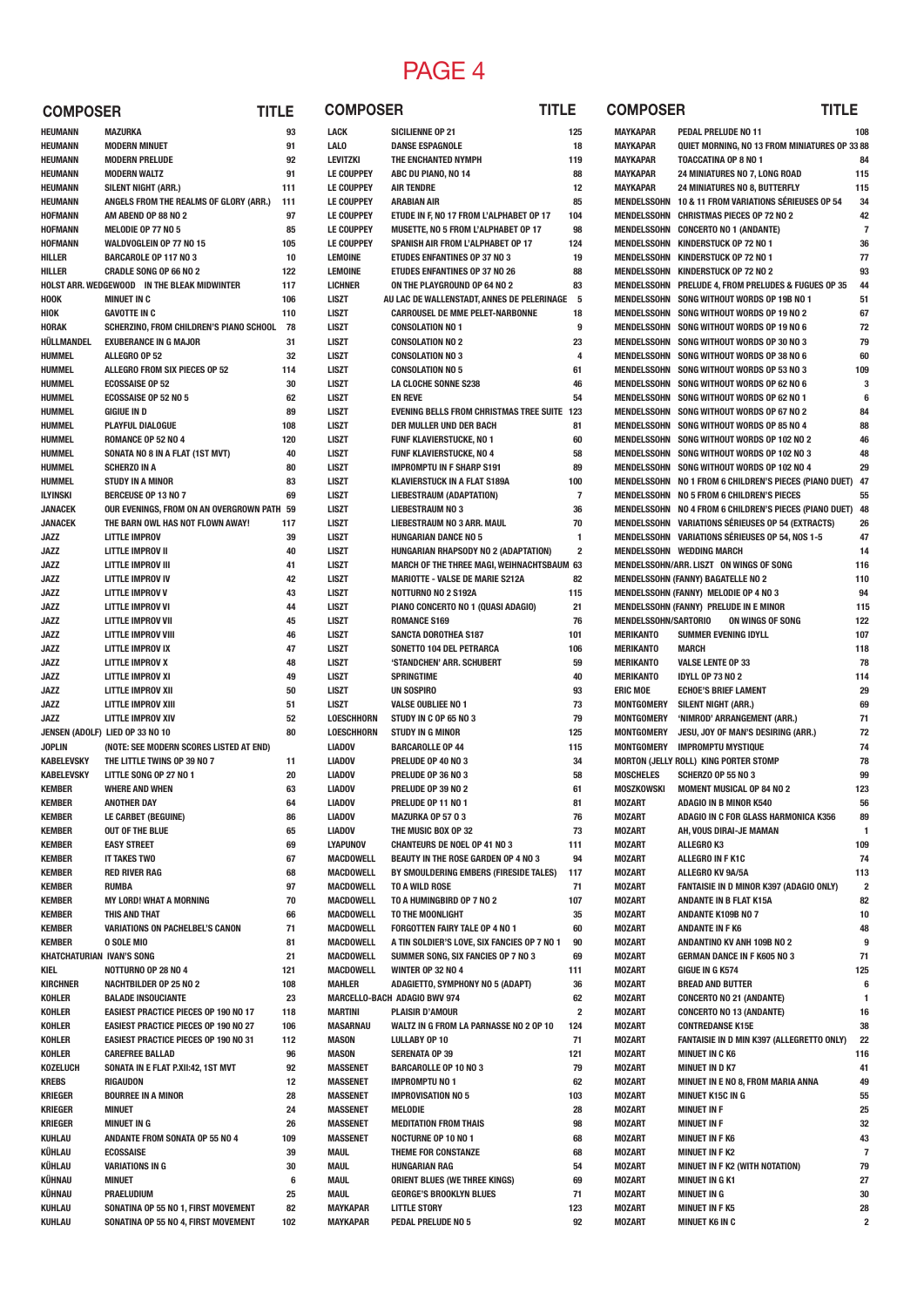## PAGE 4

| <b>COMPOSER</b>                  | <b>TITLE</b>                                |      | <b>COMPOSER</b>   |                                                | TITLE                   | <b>COMPOSER</b>      | TITLE                                                  |
|----------------------------------|---------------------------------------------|------|-------------------|------------------------------------------------|-------------------------|----------------------|--------------------------------------------------------|
| <b>HEUMANN</b>                   | MAZURKA                                     | 93   | LACK              | <b>SICILIENNE OP 21</b>                        | 125                     | <b>MAYKAPAR</b>      | PEDAL PRELUDE NO 11                                    |
| <b>HEUMANN</b>                   | <b>MODERN MINUET</b>                        | 91   | <b>LALO</b>       | <b>DANSE ESPAGNOLE</b>                         | 18                      | <b>MAYKAPAR</b>      | QUIET MORNING, NO 13 FROM MINIATURES OP 33             |
| <b>HEUMANN</b>                   | <b>MODERN PRELUDE</b>                       | 92   | <b>LEVITZKI</b>   | THE ENCHANTED NYMPH                            | 119                     | <b>MAYKAPAR</b>      | <b>TOACCATINA OP 8 NO 1</b>                            |
| <b>HEUMANN</b>                   | <b>MODERN WALTZ</b>                         | 91   | <b>LE COUPPEY</b> | ABC DU PIANO, NO 14                            | 88                      | <b>MAYKAPAR</b>      | 24 MINIATURES NO 7, LONG ROAD                          |
| <b>HEUMANN</b>                   | <b>SILENT NIGHT (ARR.)</b>                  | 111  | <b>LE COUPPEY</b> | <b>AIR TENDRE</b>                              | 12                      | <b>MAYKAPAR</b>      | <b>24 MINIATURES NO 8, BUTTERFLY</b>                   |
| <b>HEUMANN</b>                   | ANGELS FROM THE REALMS OF GLORY (ARR.)      | 111  | <b>LE COUPPEY</b> | <b>ARABIAN AIR</b>                             | 85                      |                      | MENDELSSOHN 10 & 11 FROM VARIATIONS SERIEUSES OP 54    |
| <b>HOFMANN</b>                   | AM ABEND OP 88 NO 2                         | 97   | <b>LE COUPPEY</b> | ETUDE IN F, NO 17 FROM L'ALPHABET OP 17        | 104                     | MENDELSSOHN          | <b>CHRISTMAS PIECES OP 72 NO 2</b>                     |
| <b>HOFMANN</b>                   | MELODIE OP 77 NO 5                          | 85   | <b>LE COUPPEY</b> | MUSETTE, NO 5 FROM L'ALPHABET OP 17            | 98                      | MENDELSSOHN          | <b>CONCERTO NO 1 (ANDANTE)</b>                         |
| <b>HOFMANN</b>                   | WALDVOGLEIN OP 77 NO 15                     | 105  | <b>LE COUPPEY</b> | SPANISH AIR FROM L'ALPHABET OP 17              | 124                     | MENDELSSOHN          | KINDERSTUCK OP 72 NO 1                                 |
| HILLER                           | <b>BARCAROLE OP 117 NO 3</b>                | 10   | <b>LEMOINE</b>    | <b>ETUDES ENFANTINES OP 37 NO 3</b>            | 19                      |                      | MENDELSSOHN KINDERSTUCK OP 72 NO 1                     |
| <b>HILLER</b>                    | <b>CRADLE SONG OP 66 NO 2</b>               | 122  | <b>LEMOINE</b>    | <b>ETUDES ENFANTINES OP 37 NO 26</b>           | 88                      |                      | MENDELSSOHN KINDERSTUCK OP 72 NO 2                     |
|                                  | HOLST ARR. WEDGEWOOD IN THE BLEAK MIDWINTER | 117  | <b>LICHNER</b>    | ON THE PLAYGROUND OP 64 NO 2                   | 83                      | MENDELSSOHN          | PRELUDE 4, FROM PRELUDES & FUGUES OP 35                |
| <b>HOOK</b>                      | <b>MINUET IN C</b>                          | 106  | LISZT             | AU LAC DE WALLENSTADT, ANNES DE PELERINAGE 5   |                         | MENDELSSOHN          | SONG WITHOUT WORDS OP 19B NO 1                         |
| <b>HIOK</b>                      | <b>GAVOTTE IN C</b>                         | 110  | <b>LISZT</b>      | <b>CARROUSEL DE MME PELET-NARBONNE</b>         | 18                      | MENDELSSOHN          | SONG WITHOUT WORDS OP 19 NO 2                          |
| <b>HORAK</b>                     | SCHERZINO, FROM CHILDREN'S PIANO SCHOOL     | - 78 | <b>LISZT</b>      | <b>CONSOLATION NO 1</b>                        | 9                       | MENDELSSOHN          | SONG WITHOUT WORDS OP 19 NO 6                          |
| HÜLLMANDEL                       | <b>EXUBERANCE IN G MAJOR</b>                | 31   | LISZT             | <b>CONSOLATION NO 2</b>                        | 23                      | MENDELSSOHN          | SONG WITHOUT WORDS OP 30 NO 3                          |
| <b>HUMMEL</b>                    | ALLEGRO OP 52                               | 32   | LISZT             | <b>CONSOLATION NO 3</b>                        | $\overline{4}$          | MENDELSSOHN          | SONG WITHOUT WORDS OP 38 NO 6                          |
| <b>HUMMEL</b>                    | ALLEGRO FROM SIX PIECES OP 52               | 114  | <b>LISZT</b>      | <b>CONSOLATION NO 5</b>                        | 61                      | MENDELSSOHN          | SONG WITHOUT WORDS OP 53 NO 3                          |
| <b>HUMMEL</b>                    | <b>ECOSSAISE OP 52</b>                      | 30   | <b>LISZT</b>      | <b>LA CLOCHE SONNE S238</b>                    | 46                      | MENDELSSOHN          | SONG WITHOUT WORDS OP 62 NO 6                          |
| <b>HUMMEL</b>                    | <b>ECOSSAISE OP 52 NO 5</b>                 | 62   | <b>LISZT</b>      | <b>EN REVE</b>                                 | 54                      | MENDELSSOHN          | SONG WITHOUT WORDS OP 62 NO 1                          |
| HUMMEL                           | <b>GIGIUE IN D</b>                          | 89   | <b>LISZT</b>      | <b>EVENING BELLS FROM CHRISTMAS TREE SUITE</b> | 123                     | MENDELSSOHN          | SONG WITHOUT WORDS OP 67 NO 2                          |
| <b>HUMMEL</b>                    | PLAYFUL DIALOGUE                            | 108  | <b>LISZT</b>      | DER MULLER UND DER BACH                        | 81                      | MENDELSSOHN          | SONG WITHOUT WORDS OP 85 NO 4                          |
| <b>HUMMEL</b>                    | ROMANCE OP 52 NO 4                          | 120  | <b>LISZT</b>      | <b>FUNF KLAVIERSTUCKE, NO 1</b>                | 60                      | MENDELSSOHN          | SONG WITHOUT WORDS OP 102 NO 2                         |
| <b>HUMMEL</b>                    | SONATA NO 8 IN A FLAT (1ST MVT)             | 40   | <b>LISZT</b>      | FUNF KLAVIERSTUCKE, NO 4                       | 58                      | MENDELSSOHN          | SONG WITHOUT WORDS OP 102 NO 3                         |
| <b>HUMMEL</b>                    | <b>SCHERZO IN A</b>                         | 80   | <b>LISZT</b>      | <b>IMPROMPTU IN F SHARP S191</b>               | 89                      |                      | MENDELSSOHN SONG WITHOUT WORDS OP 102 NO 4             |
| <b>HUMMEL</b>                    | <b>STUDY IN A MINOR</b>                     | 83   | <b>LISZT</b>      | <b>KLAVIERSTUCK IN A FLAT S189A</b>            | 100                     |                      | MENDELSSOHN NO 1 FROM 6 CHILDREN'S PIECES (PIANO DUET) |
| <b>ILYINSKI</b>                  | <b>BERCEUSE OP 13 NO 7</b>                  | 69   | <b>LISZT</b>      | <b>LIEBESTRAUM (ADAPTATION)</b>                | $\overline{7}$          |                      | MENDELSSOHN NO 5 FROM 6 CHILDREN'S PIECES              |
| <b>JANACEK</b>                   | OUR EVENINGS, FROM ON AN OVERGROWN PATH 59  |      | <b>LISZT</b>      | <b>LIEBESTRAUM NO 3</b>                        | 36                      |                      | MENDELSSOHN NO 4 FROM 6 CHILDREN'S PIECES (PIANO DUET) |
| <b>JANACEK</b>                   | THE BARN OWL HAS NOT FLOWN AWAY!            | 117  | <b>LISZT</b>      | LIEBESTRAUM NO 3 ARR. MAUL                     | 70                      |                      | MENDELSSOHN VARIATIONS SÉRIEUSES OP 54 (EXTRACTS)      |
| <b>JAZZ</b>                      | <b>LITTLE IMPROV</b>                        | 39   | <b>LISZT</b>      | <b>HUNGARIAN DANCE NO 5</b>                    | $\mathbf{1}$            |                      | MENDELSSOHN VARIATIONS SÉRIEUSES OP 54, NOS 1-5        |
| <b>JAZZ</b>                      | LITTLE IMPROV II                            | 40   | <b>LISZT</b>      | HUNGARIAN RHAPSODY NO 2 (ADAPTATION)           | $\overline{\mathbf{2}}$ |                      | <b>MENDELSSOHN WEDDING MARCH</b>                       |
| <b>JAZZ</b>                      | <b>LITTLE IMPROV III</b>                    | 41   | <b>LISZT</b>      | MARCH OF THE THREE MAGI, WEIHNACHTSBAUM 63     |                         |                      | MENDELSSOHN/ARR. LISZT ON WINGS OF SONG                |
| <b>JAZZ</b>                      | <b>LITTLE IMPROV IV</b>                     | 42   | <b>LISZT</b>      | <b>MARIOTTE - VALSE DE MARIE S212A</b>         | 82                      |                      | <b>MENDELSSOHN (FANNY) BAGATELLE NO 2</b>              |
| <b>JAZZ</b>                      | <b>LITTLE IMPROV V</b>                      | 43   | <b>LISZT</b>      | NOTTURNO NO 2 S192A                            | 115                     |                      | MENDELSSOHN (FANNY) MELODIE OP 4 NO 3                  |
| <b>JAZZ</b>                      | <b>LITTLE IMPROV VI</b>                     | 44   | <b>LISZT</b>      | PIANO CONCERTO NO 1 (QUASI ADAGIO)             | 21                      |                      | <b>MENDELSSOHN (FANNY) PRELUDE IN E MINOR</b>          |
| <b>JAZZ</b>                      | LITTLE IMPROV VII                           | 45   | LISZT             | <b>ROMANCE S169</b>                            | 76                      | MENDELSSOHN/SARTORIO | ON WINGS OF SONG                                       |
| <b>JAZZ</b>                      | LITTLE IMPROV VIII                          | 46   | <b>LISZT</b>      | <b>SANCTA DOROTHEA S187</b>                    | 101                     | <b>MERIKANTO</b>     | <b>SUMMER EVENING IDYLL</b>                            |
| <b>JAZZ</b>                      | LITTLE IMPROV IX                            | 47   | <b>LISZT</b>      | SONETTO 104 DEL PETRARCA                       | 106                     | <b>MERIKANTO</b>     | <b>MARCH</b>                                           |
| <b>JAZZ</b>                      | <b>LITTLE IMPROV X</b>                      | 48   | <b>LISZT</b>      | <b>'STANDCHEN' ARR. SCHUBERT</b>               | 59                      | <b>MERIKANTO</b>     | <b>VALSE LENTE OP 33</b>                               |
| <b>JAZZ</b>                      | LITTLE IMPROV XI                            | 49   | LISZT             | <b>SPRINGTIME</b>                              | 40                      | <b>MERIKANTO</b>     | <b>IDYLL OP 73 NO 2</b>                                |
| <b>JAZZ</b>                      | LITTLE IMPROV XII                           | 50   | <b>LISZT</b>      | <b>UN SOSPIRO</b>                              | 93                      | <b>ERIC MOE</b>      | <b>ECHOE'S BRIEF LAMENT</b>                            |
| <b>JAZZ</b>                      | <b>LITTLE IMPROV XIII</b>                   | 51   | <b>LISZT</b>      | <b>VALSE OUBLIEE NO 1</b>                      | 73                      | MONTGOMERY           | <b>SILENT NIGHT (ARR.)</b>                             |
| <b>JAZZ</b>                      | <b>LITTLE IMPROV XIV</b>                    | 52   | LOESCHHORN        | STUDY IN C OP 65 NO 3                          | 79                      | <b>MONTGOMERY</b>    | 'NIMROD' ARRANGEMENT (ARR.)                            |
|                                  | JENSEN (ADOLF) LIED OP 33 NO 10             | 80   | <b>LOESCHHORN</b> | <b>STUDY IN G MINOR</b>                        | 125                     | <b>MONTGOMERY</b>    | JESU, JOY OF MAN'S DESIRING (ARR.)                     |
| <b>JOPLIN</b>                    | (NOTE: SEE MODERN SCORES LISTED AT END)     |      | <b>LIADOV</b>     | <b>BARCAROLLE OP 44</b>                        | 115                     | <b>MONTGOMERY</b>    | <b>IMPROMPTU MYSTIQUE</b>                              |
| <b>KABELEVSKY</b>                | THE LITTLE TWINS OP 39 NO 7                 | 11   | <b>LIADOV</b>     | PRELUDE OP 40 NO 3                             | 34                      |                      | MORTON (JELLY ROLL) KING PORTER STOMP                  |
| <b>KABELEVSKY</b>                | LITTLE SONG OP 27 NO 1                      | 20   | <b>LIADOV</b>     | PRELUDE OP 36 NO 3                             | 58                      | <b>MOSCHELES</b>     | <b>SCHERZO OP 55 NO 3</b>                              |
| <b>KEMBER</b>                    | <b>WHERE AND WHEN</b>                       | 63   | <b>LIADOV</b>     | PRELUDE OP 39 NO 2                             | 61                      | MOSZKOWSKI           | <b>MOMENT MUSICAL OP 84 NO 2</b>                       |
| <b>KEMBER</b>                    | <b>ANOTHER DAY</b>                          | 64   | <b>LIADOV</b>     | PRELUDE OP 11 NO 1                             | 81                      | <b>MOZART</b>        | <b>ADAGIO IN B MINOR K540</b>                          |
| <b>KEMBER</b>                    | <b>LE CARBET (BEGUINE)</b>                  | 86   | <b>LIADOV</b>     | MAZURKA OP 57 03                               | 76                      | <b>MOZART</b>        | ADAGIO IN C FOR GLASS HARMONICA K356                   |
| <b>KEMBER</b>                    | OUT OF THE BLUE                             | 65   | <b>LIADOV</b>     | THE MUSIC BOX OP 32                            | 73                      | <b>MOZART</b>        | AH, VOUS DIRAI-JE MAMAN                                |
| <b>KEMBER</b>                    | <b>EASY STREET</b>                          | 69   | <b>LYAPUNOV</b>   | <b>CHANTEURS DE NOEL OP 41 NO 3</b>            | 111                     | <b>MOZART</b>        | <b>ALLEGRO K3</b>                                      |
| <b>KEMBER</b>                    | IT TAKES TWO                                | 67   | MACDOWELL         | BEAUTY IN THE ROSE GARDEN OP 4 NO 3            | 94                      | <b>MOZART</b>        | ALLEGRO IN F K1C                                       |
| <b>KEMBER</b>                    | <b>RED RIVER RAG</b>                        | 68   | <b>MACDOWELL</b>  | BY SMOULDERING EMBERS (FIRESIDE TALES)         | 117                     | <b>MOZART</b>        | ALLEGRO KV 9A/5A                                       |
| <b>KEMBER</b>                    | <b>RUMBA</b>                                | 97   | <b>MACDOWELL</b>  | TO A WILD ROSE                                 | 71                      | <b>MOZART</b>        | <b>FANTAISIE IN D MINOR K397 (ADAGIO ONLY)</b>         |
| <b>KEMBER</b>                    | <b>MY LORD! WHAT A MORNING</b>              | 70   | <b>MACDOWELL</b>  | TO A HUMINGBIRD OP 7 NO 2                      | 107                     | <b>MOZART</b>        | <b>ANDANTE IN B FLAT K15A</b>                          |
| <b>KEMBER</b>                    | THIS AND THAT                               | 66   | <b>MACDOWELL</b>  | TO THE MOONLIGHT                               | 35                      | <b>MOZART</b>        | ANDANTE K109B NO 7                                     |
| <b>KEMBER</b>                    | VARIATIONS ON PACHELBEL'S CANON             | 71   | <b>MACDOWELL</b>  | FORGOTTEN FAIRY TALE OP 4 NO 1                 | 60                      | <b>MOZART</b>        | <b>ANDANTE IN F K6</b>                                 |
| <b>KEMBER</b>                    | <b>0 SOLE MIO</b>                           | 81   | MACDOWELL         | A TIN SOLDIER'S LOVE, SIX FANCIES OP 7 NO 1    | 90                      | <b>MOZART</b>        | ANDANTINO KV ANH 109B NO 2                             |
| <b>KHATCHATURIAN IVAN'S SONG</b> |                                             | 21   | <b>MACDOWELL</b>  | SUMMER SONG, SIX FANCIES OP 7 NO 3             | 69                      | <b>MOZART</b>        | <b>GERMAN DANCE IN F K605 NO 3</b>                     |
| <b>KIEL</b>                      | NOTTURNO OP 28 NO 4                         | 121  | <b>MACDOWELL</b>  | <b>WINTER OP 32 NO 4</b>                       | 111                     | <b>MOZART</b>        | GIGUE IN G K574                                        |
| <b>KIRCHNER</b>                  | <b>NACHTBILDER OP 25 NO 2</b>               | 108  | <b>MAHLER</b>     | ADAGIETTO, SYMPHONY NO 5 (ADAPT)               | 36                      | <b>MOZART</b>        | <b>BREAD AND BUTTER</b>                                |
| KOHLER                           | <b>BALADE INSOUCIANTE</b>                   | 23   |                   | MARCELLO-BACH ADAGIO BWV 974                   | 62                      | <b>MOZART</b>        | <b>CONCERTO NO 21 (ANDANTE)</b>                        |
| KOHLER                           | <b>EASIEST PRACTICE PIECES OP 190 NO 17</b> | 118  | <b>MARTINI</b>    | <b>PLAISIR D'AMOUR</b>                         | $\overline{2}$          | <b>MOZART</b>        | <b>CONCERTO NO 13 (ANDANTE)</b>                        |
| KOHLER                           | <b>EASIEST PRACTICE PIECES OP 190 NO 27</b> | 106  | <b>MASARNAU</b>   | WALTZ IN G FROM LA PARNASSE NO 2 OP 10         | 124                     | <b>MOZART</b>        | <b>CONTREDANSE K15E</b>                                |
| KOHLER                           | <b>EASIEST PRACTICE PIECES OP 190 NO 31</b> | 112  | <b>MASON</b>      | <b>LULLABY OP 10</b>                           | 71                      | <b>MOZART</b>        | FANTAISIE IN D MIN K397 (ALLEGRETTO ONLY)              |
| KOHLER                           | <b>CAREFREE BALLAD</b>                      | 96   | <b>MASON</b>      | <b>SERENATA OP 39</b>                          | 121                     | <b>MOZART</b>        | <b>MINUET IN C K6</b>                                  |
| <b>KOZELUCH</b>                  | SONATA IN E FLAT P.XII:42, 1ST MVT          | 92   | <b>MASSENET</b>   | <b>BARCAROLLE OP 10 NO 3</b>                   | 79                      | <b>MOZART</b>        | <b>MINUET IN D K7</b>                                  |
| <b>KREBS</b>                     | RIGAUDON                                    | 12   | <b>MASSENET</b>   | <b>IMPROMPTU NO 1</b>                          | 62                      | <b>MOZART</b>        | MINUET IN E NO 8, FROM MARIA ANNA                      |
| KRIEGER                          | <b>BOURREE IN A MINOR</b>                   | 28   | <b>MASSENET</b>   | <b>IMPROVISATION NO 5</b>                      | 103                     | <b>MOZART</b>        | <b>MINUET K15C IN G</b>                                |
| KRIEGER                          | MINUET                                      | 24   | <b>MASSENET</b>   | MELODIE                                        | 28                      | <b>MOZART</b>        | <b>MINUET IN F</b>                                     |
| KRIEGER                          | <b>MINUET IN G</b>                          | 26   | <b>MASSENET</b>   | <b>MEDITATION FROM THAIS</b>                   | 98                      | <b>MOZART</b>        | <b>MINUET IN F</b>                                     |
| <b>KUHLAU</b>                    | ANDANTE FROM SONATA OP 55 NO 4              | 109  | <b>MASSENET</b>   | <b>NOCTURNE OP 10 NO 1</b>                     | 68                      | <b>MOZART</b>        | <b>MINUET IN F K6</b>                                  |
| KÜHLAU                           | <b>ECOSSAISE</b>                            | 39   | <b>MAUL</b>       | THEME FOR CONSTANZE                            | 68                      | <b>MOZART</b>        | <b>MINUET IN F K2</b>                                  |
| KÜHLAU                           | <b>VARIATIONS IN G</b>                      | 30   | <b>MAUL</b>       | <b>HUNGARIAN RAG</b>                           | 54                      | <b>MOZART</b>        | MINUET IN F K2 (WITH NOTATION)                         |
| KÜHNAU                           | MINUET                                      | 6    | <b>MAUL</b>       | <b>ORIENT BLUES (WE THREE KINGS)</b>           | 69                      | <b>MOZART</b>        | <b>MINUET IN G K1</b>                                  |
| KÜHNAU                           | PRAELUDIUM                                  | 25   | <b>MAUL</b>       | <b>GEORGE'S BROOKLYN BLUES</b>                 | 71                      | <b>MOZART</b>        | <b>MINUET IN G</b>                                     |
| <b>KUHLAU</b>                    | SONATINA OP 55 NO 1, FIRST MOVEMENT         | 82   | <b>MAYKAPAR</b>   | <b>LITTLE STORY</b>                            | 123                     | <b>MOZART</b>        | <b>MINUET IN F K5</b>                                  |
| <b>KUHLAU</b>                    | SONATINA OP 55 NO 4, FIRST MOVEMENT         | 102  | <b>MAYKAPAR</b>   | PEDAL PRELUDE NO 5                             | 92                      | <b>MOZART</b>        | <b>MINUET K6 IN C</b>                                  |
|                                  |                                             |      |                   |                                                |                         |                      |                                                        |

| ᄕ                   | <b>UUINIFUJEN</b>                  | ᄞᄖᄕ                                                                                 |                   |
|---------------------|------------------------------------|-------------------------------------------------------------------------------------|-------------------|
| 125                 | <b>MAYKAPAR</b>                    | <b>PEDAL PRELUDE NO 11</b>                                                          | 108               |
| 18                  | MAYKAPAR                           | QUIET MORNING, NO 13 FROM MINIATURES OP 33 88                                       |                   |
| 119                 | <b>MAYKAPAR</b>                    | <b>TOACCATINA OP 8 NO 1</b>                                                         | 84                |
| 88<br>12            | <b>MAYKAPAR</b><br><b>MAYKAPAR</b> | 24 MINIATURES NO 7, LONG ROAD<br>24 MINIATURES NO 8, BUTTERFLY                      | 115               |
| 85                  | MENDELSSOHN                        | 10 & 11 FROM VARIATIONS SÉRIEUSES OP 54                                             | 115<br>34         |
| 104                 | MENDELSSOHN                        | <b>CHRISTMAS PIECES OP 72 NO 2</b>                                                  | 42                |
| 98                  | MENDELSSOHN                        | <b>CONCERTO NO 1 (ANDANTE)</b>                                                      | 7                 |
| 124                 | MENDELSSOHN                        | KINDERSTUCK OP 72 NO 1                                                              | 36                |
| 19                  | MENDELSSOHN                        | <b>KINDERSTUCK OP 72 NO 1</b>                                                       | 77                |
| 88                  | MENDELSSOHN                        | <b>KINDERSTUCK OP 72 NO 2</b>                                                       | 93                |
| 83                  | MENDELSSOHN                        | PRELUDE 4, FROM PRELUDES & FUGUES OP 35                                             | 44                |
| ìE<br>5<br>18       | MENDELSSOHN<br>MENDELSSOHN         | SONG WITHOUT WORDS OP 19B NO 1<br>SONG WITHOUT WORDS OP 19 NO 2                     | 51<br>67          |
| 9                   | MENDELSSOHN                        | SONG WITHOUT WORDS OP 19 NO 6                                                       | 72                |
| 23                  | MENDELSSOHN                        | SONG WITHOUT WORDS OP 30 NO 3                                                       | 79                |
| 4                   | MENDELSSOHN                        | SONG WITHOUT WORDS OP 38 NO 6                                                       | 60                |
| 61                  | MENDELSSOHN                        | SONG WITHOUT WORDS OP 53 NO 3                                                       | 109               |
| 46                  | MENDELSSOHN                        | SONG WITHOUT WORDS OP 62 NO 6                                                       | 3                 |
| 54                  | MENDELSSOHN                        | SONG WITHOUT WORDS OP 62 NO 1                                                       | 6                 |
| Ξ<br>123            | MENDELSSOHN                        | SONG WITHOUT WORDS OP 67 NO 2                                                       | 84                |
| 81<br>60            | MENDELSSOHN<br>MENDELSSOHN         | SONG WITHOUT WORDS OP 85 NO 4<br>SONG WITHOUT WORDS OP 102 NO 2                     | 88<br>46          |
| 58                  | MENDELSSOHN                        | SONG WITHOUT WORDS OP 102 NO 3                                                      | 48                |
| 89                  | MENDELSSOHN                        | SONG WITHOUT WORDS OP 102 NO 4                                                      | 29                |
| 100                 |                                    | MENDELSSOHN NO 1 FROM 6 CHILDREN'S PIECES (PIANO DUET)                              | 47                |
| 7                   |                                    | MENDELSSOHN NO 5 FROM 6 CHILDREN'S PIECES                                           | 55                |
| 36                  |                                    | MENDELSSOHN NO 4 FROM 6 CHILDREN'S PIECES (PIANO DUET)                              | 48                |
| 70                  |                                    | MENDELSSOHN VARIATIONS SÉRIEUSES OP 54 (EXTRACTS)                                   | 26                |
| 1<br>$\overline{2}$ |                                    | MENDELSSOHN VARIATIONS SÉRIEUSES OP 54, NOS 1-5<br><b>MENDELSSOHN WEDDING MARCH</b> | 47<br>14          |
| JM 63               |                                    | MENDELSSOHN/ARR. LISZT ON WINGS OF SONG                                             | 116               |
| 82                  |                                    | <b>MENDELSSOHN (FANNY) BAGATELLE NO 2</b>                                           | 110               |
| 115                 |                                    | MENDELSSOHN (FANNY) MELODIE OP 4 NO 3                                               | 94                |
| 21                  |                                    | MENDELSSOHN (FANNY) PRELUDE IN E MINOR                                              | 115               |
| 76                  | <b>MENDELSSOHN/SARTORIO</b>        | ON WINGS OF SONG                                                                    | 122               |
| 101                 | MERIKANTO                          | <b>SUMMER EVENING IDYLL</b>                                                         | 107               |
| 106<br>59           | MERIKANTO<br>MERIKANTO             | MARCH<br><b>VALSE LENTE OP 33</b>                                                   | 118<br>78         |
| 40                  | MERIKANTO                          | <b>IDYLL OP 73 NO 2</b>                                                             | 114               |
| 93                  | <b>ERIC MOE</b>                    | <b>ECHOE'S BRIEF LAMENT</b>                                                         | 29                |
| 73                  | MONTGOMERY                         | <b>SILENT NIGHT (ARR.)</b>                                                          | 69                |
| 79                  | MONTGOMERY                         | 'NIMROD' ARRANGEMENT (ARR.)                                                         | 71                |
| 125                 | MONTGOMERY                         | <b>JESU, JOY OF MAN'S DESIRING (ARR.)</b>                                           | 72                |
| 115                 | MONTGOMERY                         | <b>IMPROMPTU MYSTIQUE</b>                                                           | 74                |
| 34<br>58            | <b>MOSCHELES</b>                   | MORTON (JELLY ROLL) KING PORTER STOMP<br><b>SCHERZO OP 55 NO 3</b>                  | 78<br>99          |
| 61                  | MOSZKOWSKI                         | <b>MOMENT MUSICAL OP 84 NO 2</b>                                                    | 123               |
| 81                  | <b>MOZART</b>                      | ADAGIO IN B MINOR K540                                                              | 56                |
| 76                  | <b>MOZART</b>                      | ADAGIO IN C FOR GLASS HARMONICA K356                                                | 89                |
| 73                  | <b>MOZART</b>                      | AH, VOUS DIRAI-JE MAMAN                                                             | 1                 |
| 111                 | <b>MOZART</b>                      | <b>ALLEGRO K3</b>                                                                   | 109               |
| 94                  | <b>MOZART</b>                      | ALLEGRO IN F K1C                                                                    | 74                |
| 117<br>71           | <b>MOZART</b><br><b>MOZART</b>     | ALLEGRO KV 9A/5A<br>FANTAISIE IN D MINOR K397 (ADAGIO ONLY)                         | 113<br>2          |
| 107                 | <b>MOZART</b>                      | <b>ANDANTE IN B FLAT K15A</b>                                                       | 82                |
| 35                  | <b>MOZART</b>                      | <b>ANDANTE K109B NO 7</b>                                                           | 10                |
| 60                  | <b>MOZART</b>                      | <b>ANDANTE IN F K6</b>                                                              | 48                |
| 90                  | <b>MOZART</b>                      | ANDANTINO KV ANH 109B NO 2                                                          | 9                 |
| 69                  | <b>MOZART</b>                      | <b>GERMAN DANCE IN F K605 NO 3</b>                                                  | 71                |
| 111                 | <b>MOZART</b>                      | GIGUE IN G K574                                                                     | 125               |
| 36<br>62            | <b>MOZART</b><br><b>MOZART</b>     | <b>BREAD AND BUTTER</b><br><b>CONCERTO NO 21 (ANDANTE)</b>                          | 6<br>$\mathbf{1}$ |
| 2                   | <b>MOZART</b>                      | <b>CONCERTO NO 13 (ANDANTE)</b>                                                     | 16                |
| 124                 | <b>MOZART</b>                      | <b>CONTREDANSE K15E</b>                                                             | 38                |
| 71                  | <b>MOZART</b>                      | FANTAISIE IN D MIN K397 (ALLEGRETTO ONLY)                                           | 22                |
| 121                 | <b>MOZART</b>                      | <b>MINUET IN C K6</b>                                                               | 116               |
| 79                  | <b>MOZART</b>                      | <b>MINUET IN D K7</b>                                                               | 41                |
| 62                  | <b>MOZART</b>                      | MINUET IN E NO 8, FROM MARIA ANNA                                                   | 49                |
| 103                 | <b>MOZART</b>                      | <b>MINUET K15C IN G</b>                                                             | 55                |
| 28<br>98            | <b>MOZART</b><br><b>MOZART</b>     | <b>MINUET IN F</b><br><b>MINUET IN F</b>                                            | 25<br>32          |
| 68                  | <b>MOZART</b>                      | <b>MINUET IN F K6</b>                                                               | 43                |
| 68                  | <b>MOZART</b>                      | <b>MINUET IN F K2</b>                                                               | 7                 |
| 54                  | <b>MOZART</b>                      | MINUET IN F K2 (WITH NOTATION)                                                      | 79                |
| 69                  | <b>MOZART</b>                      | <b>MINUET IN G K1</b>                                                               | 27                |
| 71                  | <b>MOZART</b>                      | <b>MINUET IN G</b>                                                                  | 30                |
| 123                 | <b>MOZART</b>                      | <b>MINUET IN F K5</b>                                                               | 28                |
| 92                  | <b>MOZART</b>                      | <b>MINUET K6 IN C</b>                                                               | 2                 |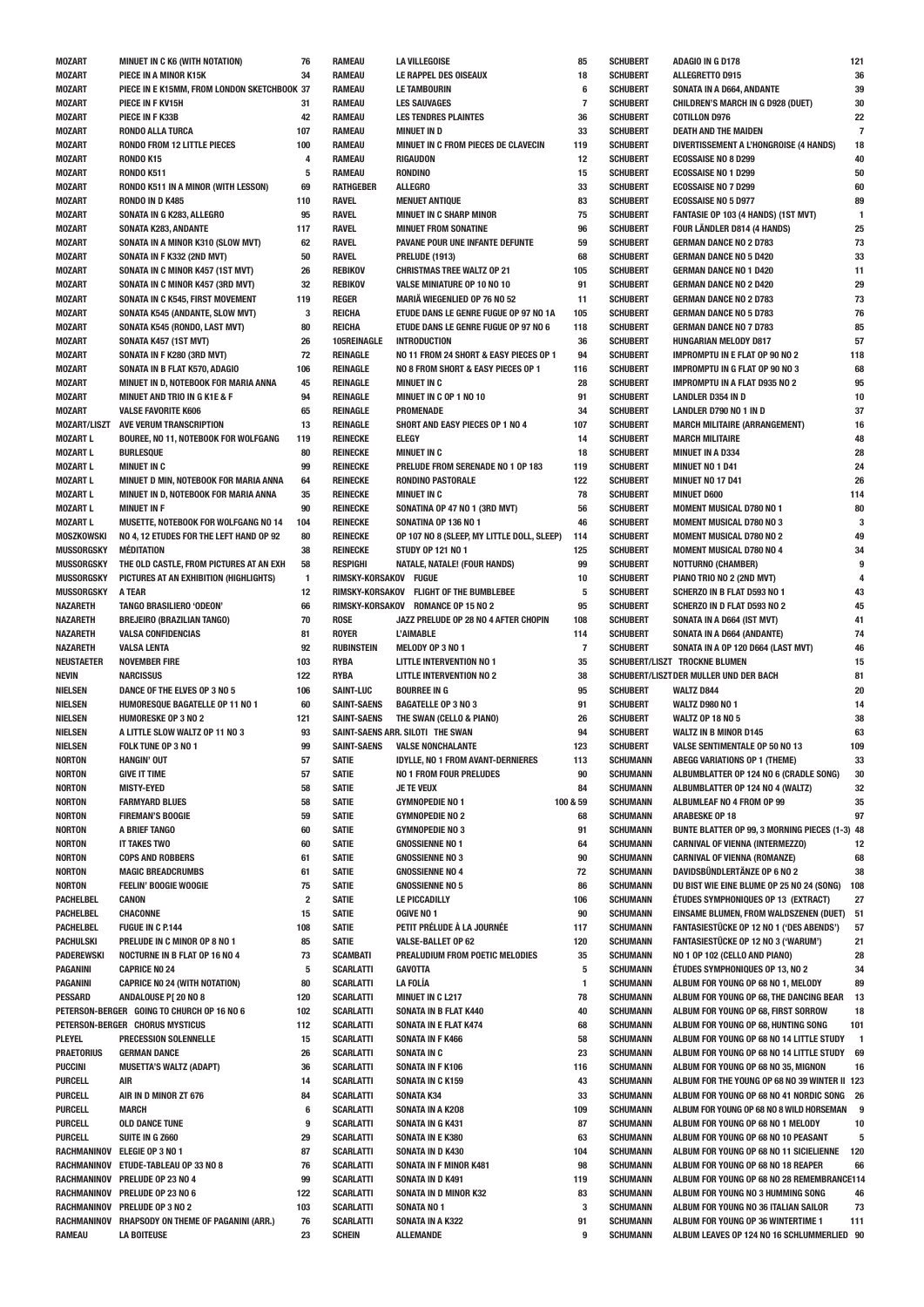| <b>MOZART</b>         | <b>MINUET IN C K6 (WITH NOTATION)</b>                      | 76                      | RAMEAU                            | LA VILLEGOISE                              | 85       | S0             |
|-----------------------|------------------------------------------------------------|-------------------------|-----------------------------------|--------------------------------------------|----------|----------------|
| <b>MOZART</b>         | PIECE IN A MINOR K15K                                      | 34                      | <b>RAMEAU</b>                     | LE RAPPEL DES OISEAUX                      | 18       | S <sub>(</sub> |
| <b>MOZART</b>         | PIECE IN E K15MM. FROM LONDON SKETCHBOOK 37                |                         | <b>RAMEAU</b>                     | <b>LE TAMBOURIN</b>                        | 6        | S(             |
| <b>MOZART</b>         | PIECE IN F KV15H                                           | 31                      | <b>RAMEAU</b>                     | <b>LES SAUVAGES</b>                        | 7        | S(             |
|                       |                                                            |                         |                                   |                                            |          |                |
| <b>MOZART</b>         | PIECE IN F K33B                                            | 42                      | <b>RAMEAU</b>                     | <b>LES TENDRES PLAINTES</b>                | 36       | S(             |
| <b>MOZART</b>         | <b>RONDO ALLA TURCA</b>                                    | 107                     | <b>RAMEAU</b>                     | <b>MINUET IN D</b>                         | 33       | S(             |
| <b>MOZART</b>         | <b>RONDO FROM 12 LITTLE PIECES</b>                         | 100                     | <b>RAMEAU</b>                     | MINUET IN C FROM PIECES DE CLAVECIN        | 119      | S(             |
| <b>MOZART</b>         | RONDO K15                                                  | 4                       | <b>RAMEAU</b>                     | RIGAUDON                                   | 12       | S(             |
| <b>MOZART</b>         | <b>RONDO K511</b>                                          | 5                       | <b>RAMEAU</b>                     | <b>RONDINO</b>                             | 15       | S(             |
|                       |                                                            |                         |                                   |                                            |          |                |
| <b>MOZART</b>         | RONDO K511 IN A MINOR (WITH LESSON)                        | 69                      | <b>RATHGEBER</b>                  | <b>ALLEGRO</b>                             | 33       | S(             |
| <b>MOZART</b>         | RONDO IN D K485                                            | 110                     | <b>RAVEL</b>                      | <b>MENUET ANTIQUE</b>                      | 83       | S(             |
| <b>MOZART</b>         | SONATA IN G K283, ALLEGRO                                  | 95                      | <b>RAVEL</b>                      | <b>MINUET IN C SHARP MINOR</b>             | 75       | S(             |
| <b>MOZART</b>         |                                                            | 117                     | <b>RAVEL</b>                      | <b>MINUET FROM SONATINE</b>                | 96       | S(             |
|                       | <b>SONATA K283, ANDANTE</b>                                |                         |                                   |                                            |          |                |
| <b>MOZART</b>         | SONATA IN A MINOR K310 (SLOW MVT)                          | 62                      | <b>RAVEL</b>                      | PAVANE POUR UNE INFANTE DEFUNTE            | 59       | S(             |
| <b>MOZART</b>         | SONATA IN F K332 (2ND MVT)                                 | 50                      | <b>RAVEL</b>                      | <b>PRELUDE (1913)</b>                      | 68       | S(             |
| <b>MOZART</b>         | SONATA IN C MINOR K457 (1ST MVT)                           | 26                      | <b>REBIKOV</b>                    | <b>CHRISTMAS TREE WALTZ OP 21</b>          | 105      | S(             |
| <b>MOZART</b>         | SONATA IN C MINOR K457 (3RD MVT)                           | 32                      | <b>REBIKOV</b>                    | VALSE MINIATURE OP 10 NO 10                | 91       | S(             |
|                       |                                                            |                         |                                   |                                            |          |                |
| <b>MOZART</b>         | SONATA IN C K545, FIRST MOVEMENT                           | 119                     | <b>REGER</b>                      | MARIA WIEGENLIED OP 76 NO 52               | 11       | S(             |
| <b>MOZART</b>         | SONATA K545 (ANDANTE, SLOW MVT)                            | 3                       | REICHA                            | ETUDE DANS LE GENRE FUGUE OP 97 NO 1A      | 105      | S(             |
| <b>MOZART</b>         | SONATA K545 (RONDO, LAST MVT)                              | 80                      | REICHA                            | ETUDE DANS LE GENRE FUGUE OP 97 NO 6       | 118      | S(             |
| <b>MOZART</b>         | SONATA K457 (1ST MVT)                                      | 26                      | 105REINAGLE                       | <b>INTRODUCTION</b>                        | 36       | S(             |
|                       |                                                            | 72                      |                                   |                                            | 94       | S(             |
| <b>MOZART</b>         | SONATA IN F K280 (3RD MVT)                                 |                         | REINAGLE                          | NO 11 FROM 24 SHORT & EASY PIECES OP 1     |          |                |
| <b>MOZART</b>         | SONATA IN B FLAT K570, ADAGIO                              | 106                     | REINAGLE                          | NO 8 FROM SHORT & EASY PIECES OP 1         | 116      | S(             |
| <b>MOZART</b>         | MINUET IN D, NOTEBOOK FOR MARIA ANNA                       | 45                      | <b>REINAGLE</b>                   | <b>MINUET IN C</b>                         | 28       | S(             |
| <b>MOZART</b>         | <b>MINUET AND TRIO IN G K1E &amp; F</b>                    | 94                      | REINAGLE                          | MINUET IN C OP 1 NO 10                     | 91       | S(             |
| <b>MOZART</b>         | <b>VALSE FAVORITE K606</b>                                 | 65                      | REINAGLE                          | PROMENADE                                  | 34       | S(             |
|                       |                                                            |                         | <b>REINAGLE</b>                   |                                            |          | S(             |
| <b>MOZART/LISZT</b>   | AVE VERUM TRANSCRIPTION                                    | 13                      |                                   | SHORT AND EASY PIECES OP 1 NO 4            | 107      |                |
| <b>MOZART L</b>       | BOUREE, NO 11, NOTEBOOK FOR WOLFGANG                       | 119                     | <b>REINECKE</b>                   | <b>ELEGY</b>                               | 14       | S(             |
| <b>MOZART L</b>       | <b>BURLESQUE</b>                                           | 80                      | <b>REINECKE</b>                   | <b>MINUET IN C</b>                         | 18       | S(             |
| <b>MOZART L</b>       | <b>MINUET IN C</b>                                         | 99                      | <b>REINECKE</b>                   | PRELUDE FROM SERENADE NO 1 OP 183          | 119      | S(             |
| <b>MOZART L</b>       | MINUET D MIN, NOTEBOOK FOR MARIA ANNA                      | 64                      | <b>REINECKE</b>                   | <b>RONDINO PASTORALE</b>                   | 122      | S(             |
|                       |                                                            |                         |                                   |                                            |          |                |
| <b>MOZART L</b>       | MINUET IN D, NOTEBOOK FOR MARIA ANNA                       | 35                      | <b>REINECKE</b>                   | <b>MINUET IN C</b>                         | 78       | S(             |
| <b>MOZART L</b>       | <b>MINUET IN F</b>                                         | 90                      | <b>REINECKE</b>                   | SONATINA OP 47 NO 1 (3RD MVT)              | 56       | S(             |
| <b>MOZART L</b>       | MUSETTE, NOTEBOOK FOR WOLFGANG NO 14                       | 104                     | <b>REINECKE</b>                   | SONATINA OP 136 NO 1                       | 46       | S(             |
| MOSZKOWSKI            | NO 4, 12 ETUDES FOR THE LEFT HAND OP 92                    | 80                      | <b>REINECKE</b>                   | OP 107 NO 8 (SLEEP, MY LITTLE DOLL, SLEEP) | 114      | S(             |
|                       |                                                            |                         |                                   |                                            |          |                |
| <b>MUSSORGSKY</b>     | <b>MÉDITATION</b>                                          | 38                      | <b>REINECKE</b>                   | <b>STUDY OP 121 NO 1</b>                   | 125      | S(             |
| <b>MUSSORGSKY</b>     | THE OLD CASTLE, FROM PICTURES AT AN EXH                    | 58                      | <b>RESPIGHI</b>                   | <b>NATALE, NATALE! (FOUR HANDS)</b>        | 99       | S(             |
| <b>MUSSORGSKY</b>     | PICTURES AT AN EXHIBITION (HIGHLIGHTS)                     | $\mathbf{1}$            | RIMSKY-KORSAKOV FUGUE             |                                            | 10       | S(             |
| <b>MUSSORGSKY</b>     | A TEAR                                                     | 12                      |                                   | RIMSKY-KORSAKOV FLIGHT OF THE BUMBLEBEE    | 5        | S(             |
| NAZARETH              | <b>TANGO BRASILIERO 'ODEON'</b>                            | 66                      |                                   | RIMSKY-KORSAKOV ROMANCE OP 15 NO 2         | 95       | S(             |
|                       |                                                            |                         |                                   |                                            |          |                |
| NAZARETH              | <b>BREJEIRO (BRAZILIAN TANGO)</b>                          | 70                      | <b>ROSE</b>                       | JAZZ PRELUDE OP 28 NO 4 AFTER CHOPIN       | 108      | S(             |
| <b>NAZARETH</b>       | <b>VALSA CONFIDENCIAS</b>                                  | 81                      | <b>ROYER</b>                      | L'AIMABLE                                  | 114      | S(             |
| NAZARETH              | <b>VALSA LENTA</b>                                         |                         |                                   |                                            |          |                |
|                       |                                                            | 92                      | <b>RUBINSTEIN</b>                 | MELODY OP 3 NO 1                           | 7        | S(             |
|                       |                                                            |                         |                                   |                                            |          |                |
| <b>NEUSTAETER</b>     | <b>NOVEMBER FIRE</b>                                       | 103                     | <b>RYBA</b>                       | <b>LITTLE INTERVENTION NO 1</b>            | 35       | S(             |
| <b>NEVIN</b>          | <b>NARCISSUS</b>                                           | 122                     | <b>RYBA</b>                       | <b>LITTLE INTERVENTION NO 2</b>            | 38       | S(             |
| <b>NIELSEN</b>        | DANCE OF THE ELVES OP 3 NO 5                               | 106                     | <b>SAINT-LUC</b>                  | <b>BOURREE IN G</b>                        | 95       | S(             |
| <b>NIELSEN</b>        | HUMORESQUE BAGATELLE OP 11 NO 1                            | 60                      | <b>SAINT-SAENS</b>                | <b>BAGATELLE OP 3 NO 3</b>                 | 91       | S(             |
| <b>NIELSEN</b>        | <b>HUMORESKE OP 3 NO 2</b>                                 | 121                     | <b>SAINT-SAENS</b>                | THE SWAN (CELLO & PIANO)                   | 26       | S(             |
|                       |                                                            |                         |                                   |                                            |          |                |
| <b>NIELSEN</b>        | A LITTLE SLOW WALTZ OP 11 NO 3                             | 93                      |                                   | SAINT-SAENS ARR. SILOTI THE SWAN           | 94       | S(             |
| <b>NIELSEN</b>        | FOLK TUNE OP 3 NO 1                                        | 99                      | <b>SAINT-SAENS</b>                | <b>VALSE NONCHALANTE</b>                   | 123      | S(             |
| NORTON                | HANGIN' OUT                                                | 57                      | Satie                             | <b>IDYLLE, NO 1 FROM AVANT-DERNIERES</b>   | 113      | S(             |
| <b>NORTON</b>         | <b>GIVE IT TIME</b>                                        | 57                      | <b>SATIE</b>                      | <b>NO 1 FROM FOUR PRELUDES</b>             | 90       | S(             |
|                       | <b>MISTY-EYED</b>                                          | 58                      |                                   | JE TE VEUX                                 | 84       | S(             |
| <b>NORTON</b>         |                                                            |                         | <b>SATIE</b>                      |                                            |          |                |
| <b>NORTON</b>         | <b>FARMYARD BLUES</b>                                      | 58                      | <b>SATIE</b>                      | <b>GYMNOPEDIE NO 1</b>                     | 100 & 59 | S(             |
| <b>NORTON</b>         | <b>FIREMAN'S BOOGIE</b>                                    | 59                      | <b>SATIE</b>                      | <b>GYMNOPEDIE NO 2</b>                     | 68       | S(             |
| <b>NORTON</b>         | A BRIEF TANGO                                              | 60                      | <b>SATIE</b>                      | <b>GYMNOPEDIE NO 3</b>                     | 91       | S(             |
| <b>NORTON</b>         | <b>IT TAKES TWO</b>                                        | 60                      | <b>SATIE</b>                      | <b>GNOSSIENNE NO 1</b>                     | 64       | S(             |
|                       | <b>COPS AND ROBBERS</b>                                    | 61                      |                                   | <b>GNOSSIENNE NO 3</b>                     | 90       | S(             |
| <b>NORTON</b>         |                                                            |                         | <b>SATIE</b>                      |                                            |          |                |
| <b>NORTON</b>         | <b>MAGIC BREADCRUMBS</b>                                   | 61                      | <b>SATIE</b>                      | <b>GNOSSIENNE NO 4</b>                     | 72       | S(             |
| <b>NORTON</b>         | <b>FEELIN' BOOGIE WOOGIE</b>                               | 75                      | <b>SATIE</b>                      | <b>GNOSSIENNE NO 5</b>                     | 86       | S(             |
| <b>PACHELBEL</b>      | CANON                                                      | $\overline{\mathbf{2}}$ | <b>SATIE</b>                      | LE PICCADILLY                              | 106      | S(             |
| PACHELBEL             | CHACONNE                                                   | 15                      | <b>SATIE</b>                      | <b>OGIVE NO 1</b>                          | 90       | S(             |
| PACHELBEL             | <b>FUGUE IN C P.144</b>                                    | 108                     |                                   | PETIT PRÉLUDE À LA JOURNÉE                 | 117      | S(             |
|                       |                                                            |                         | <b>SATIE</b>                      |                                            |          |                |
| PACHULSKI             | PRELUDE IN C MINOR OP 8 NO 1                               | 85                      | <b>SATIE</b>                      | <b>VALSE-BALLET OP 62</b>                  | 120      | S(             |
| PADEREWSKI            | NOCTURNE IN B FLAT OP 16 NO 4                              | 73                      | SCAMBATI                          | PREALUDIUM FROM POETIC MELODIES            | 35       | S(             |
| <b>PAGANINI</b>       | <b>CAPRICE NO 24</b>                                       | 5                       | <b>SCARLATTI</b>                  | <b>GAVOTTA</b>                             | 5        | S(             |
| PAGANINI              | <b>CAPRICE NO 24 (WITH NOTATION)</b>                       | 80                      | <b>SCARLATTI</b>                  | <b>LA FOLÍA</b>                            | 1        | S(             |
|                       |                                                            |                         |                                   |                                            |          |                |
| <b>PESSARD</b>        | ANDALOUSE P[ 20 NO 8                                       | 120                     | <b>SCARLATTI</b>                  | <b>MINUET IN C L217</b>                    | 78       | S(             |
|                       | PETERSON-BERGER GOING TO CHURCH OP 16 NO 6                 | 102                     | <b>SCARLATTI</b>                  | <b>SONATA IN B FLAT K440</b>               | 40       | S(             |
|                       | PETERSON-BERGER CHORUS MYSTICUS                            | 112                     | <b>SCARLATTI</b>                  | SONATA IN E FLAT K474                      | 68       | S(             |
| PLEYEL                | PRECESSION SOLENNELLE                                      | 15                      | <b>SCARLATTI</b>                  | SONATA IN F K466                           | 58       | S(             |
| <b>PRAETORIUS</b>     | <b>GERMAN DANCE</b>                                        | 26                      | <b>SCARLATTI</b>                  | SONATA IN C                                | 23       | S(             |
| <b>PUCCINI</b>        | <b>MUSETTA'S WALTZ (ADAPT)</b>                             | 36                      | <b>SCARLATTI</b>                  | SONATA IN F K106                           | 116      | S(             |
|                       |                                                            |                         |                                   |                                            |          |                |
| <b>PURCELL</b>        | AIR                                                        | 14                      | <b>SCARLATTI</b>                  | SONATA IN C K159                           | 43       | S(             |
| <b>PURCELL</b>        | AIR IN D MINOR ZT 676                                      | 84                      | SCARLATTI                         | <b>SONATA K34</b>                          | 33       | S(             |
| <b>PURCELL</b>        | <b>MARCH</b>                                               | 6                       | <b>SCARLATTI</b>                  | SONATA IN A K208                           | 109      | S(             |
| <b>PURCELL</b>        | <b>OLD DANCE TUNE</b>                                      | 9                       | <b>SCARLATTI</b>                  | SONATA IN G K431                           | 87       | S(             |
|                       |                                                            |                         |                                   |                                            |          |                |
| <b>PURCELL</b>        | SUITE IN G Z660                                            | 29                      | <b>SCARLATTI</b>                  | SONATA IN E K380                           | 63       | S(             |
|                       | RACHMANINOV ELEGIE OP 3 NO 1                               | 87                      | <b>SCARLATTI</b>                  | <b>SONATA IN D K430</b>                    | 104      | S(             |
|                       | RACHMANINOV ETUDE-TABLEAU OP 33 NO 8                       | 76                      | <b>SCARLATTI</b>                  | SONATA IN F MINOR K481                     | 98       | S(             |
|                       | RACHMANINOV PRELUDE OP 23 NO 4                             | 99                      | SCARLATTI                         | SONATA IN D K491                           | 119      | S(             |
|                       | RACHMANINOV PRELUDE OP 23 NO 6                             | 122                     | <b>SCARLATTI</b>                  | SONATA IN D MINOR K32                      | 83       | S(             |
|                       |                                                            |                         |                                   |                                            |          |                |
|                       | RACHMANINOV PRELUDE OP 3 NO 2                              | 103                     | <b>SCARLATTI</b>                  | SONATA NO 1                                | 3        | S(             |
| RACHMANINOV<br>RAMEAU | RHAPSODY ON THEME OF PAGANINI (ARR.)<br><b>LA BOITEUSE</b> | 76<br>23                | <b>SCARLATTI</b><br><b>SCHEIN</b> | SONATA IN A K322<br>ALLEMANDE              | 91<br>9  | S(<br>S(       |

| 85           | <b>SCHUBERT</b>                    | <b>ADAGIO IN G D178</b>                                                        | 121       |
|--------------|------------------------------------|--------------------------------------------------------------------------------|-----------|
| 18           | <b>SCHUBERT</b>                    | ALLEGRETTO D915                                                                | 36        |
| 6            | <b>SCHUBERT</b>                    | SONATA IN A D664, ANDANTE                                                      | 39        |
| 7<br>36      | <b>SCHUBERT</b><br><b>SCHUBERT</b> | CHILDREN'S MARCH IN G D928 (DUET)<br><b>COTILLON D976</b>                      | 30<br>22  |
| 33           | <b>SCHUBERT</b>                    | <b>DEATH AND THE MAIDEN</b>                                                    | 7         |
| 119          | <b>SCHUBERT</b>                    | DIVERTISSEMENT A L'HONGROISE (4 HANDS)                                         | 18        |
| 12           | <b>SCHUBERT</b>                    | <b>ECOSSAISE NO 8 D299</b>                                                     | 40        |
| 15           | <b>SCHUBERT</b>                    | <b>ECOSSAISE NO 1 D299</b>                                                     | 50        |
| 33           | <b>SCHUBERT</b>                    | <b>ECOSSAISE NO 7 D299</b>                                                     | 60        |
| 83           | <b>SCHUBERT</b>                    | <b>ECOSSAISE NO 5 D977</b>                                                     | 89        |
| 75           | <b>SCHUBERT</b>                    | FANTASIE OP 103 (4 HANDS) (1ST MVT)                                            | 1         |
| 96           | <b>SCHUBERT</b>                    | FOUR LÄNDLER D814 (4 HANDS)                                                    | 25        |
| 59           | <b>SCHUBERT</b>                    | <b>GERMAN DANCE NO 2 D783</b>                                                  | 73        |
| 68           | <b>SCHUBERT</b>                    | <b>GERMAN DANCE NO 5 D420</b>                                                  | 33        |
| 105<br>91    | <b>SCHUBERT</b><br><b>SCHUBERT</b> | <b>GERMAN DANCE NO 1 D420</b><br><b>GERMAN DANCE NO 2 D420</b>                 | 11<br>29  |
| 11           | <b>SCHUBERT</b>                    | <b>GERMAN DANCE NO 2 D783</b>                                                  | 73        |
| 105          | <b>SCHUBERT</b>                    | <b>GERMAN DANCE NO 5 D783</b>                                                  | 76        |
| 118          | <b>SCHUBERT</b>                    | <b>GERMAN DANCE NO 7 D783</b>                                                  | 85        |
| 36           | <b>SCHUBERT</b>                    | <b>HUNGARIAN MELODY D817</b>                                                   | 57        |
| 94           | <b>SCHUBERT</b>                    | <b>IMPROMPTU IN E FLAT OP 90 NO 2</b>                                          | 118       |
| 116          | <b>SCHUBERT</b>                    | <b>IMPROMPTU IN G FLAT OP 90 NO 3</b>                                          | 68        |
| 28           | <b>SCHUBERT</b>                    | <b>IMPROMPTU IN A FLAT D935 NO 2</b>                                           | 95        |
| 91           | <b>SCHUBERT</b>                    | <b>LANDLER D354 IN D</b>                                                       | 10        |
| 34           | <b>SCHUBERT</b>                    | <b>LANDLER D790 NO 1 IN D</b>                                                  | 37        |
| 107          | <b>SCHUBERT</b>                    | <b>MARCH MILITAIRE (ARRANGEMENT)</b>                                           | 16        |
| 14<br>18     | <b>SCHUBERT</b><br><b>SCHUBERT</b> | <b>MARCH MILITAIRE</b><br><b>MINUET IN A D334</b>                              | 48<br>28  |
| 119          | <b>SCHUBERT</b>                    | <b>MINUET NO 1 D41</b>                                                         | 24        |
| 122          | <b>SCHUBERT</b>                    | <b>MINUET NO 17 D41</b>                                                        | 26        |
| 78           | <b>SCHUBERT</b>                    | <b>MINUET D600</b>                                                             | 114       |
| 56           | <b>SCHUBERT</b>                    | <b>MOMENT MUSICAL D780 NO 1</b>                                                | 80        |
| 46           | <b>SCHUBERT</b>                    | <b>MOMENT MUSICAL D780 NO 3</b>                                                | 3         |
| 114          | <b>SCHUBERT</b>                    | <b>MOMENT MUSICAL D780 NO 2</b>                                                | 49        |
| 125          | <b>SCHUBERT</b>                    | <b>MOMENT MUSICAL D780 NO 4</b>                                                | 34        |
| 99           | <b>SCHUBERT</b>                    | <b>NOTTURNO (CHAMBER)</b>                                                      | 9         |
| 10           | <b>SCHUBERT</b>                    | PIANO TRIO NO 2 (2ND MVT)                                                      | 4         |
| 5            | <b>SCHUBERT</b>                    | SCHERZO IN B FLAT D593 NO 1                                                    | 43        |
| 95           | <b>SCHUBERT</b>                    | SCHERZO IN D FLAT D593 NO 2                                                    | 45        |
| 108<br>114   | <b>SCHUBERT</b><br><b>SCHUBERT</b> | SONATA IN A D664 (IST MVT)<br>SONATA IN A D664 (ANDANTE)                       | 41<br>74  |
| 7            | <b>SCHUBERT</b>                    | SONATA IN A OP 120 D664 (LAST MVT)                                             | 46        |
| 35           |                                    | SCHUBERT/LISZT TROCKNE BLUMEN                                                  | 15        |
| 38           |                                    | SCHUBERT/LISZT DER MULLER UND DER BACH                                         | 81        |
| 95           | <b>SCHUBERT</b>                    | <b>WALTZ D844</b>                                                              | 20        |
| 91           | <b>SCHUBERT</b>                    | <b>WALTZ D980 NO 1</b>                                                         | 14        |
| 26           | <b>SCHUBERT</b>                    | <b>WALTZ OP 18 NO 5</b>                                                        | 38        |
| 94           | <b>SCHUBERT</b>                    | <b>WALTZ IN B MINOR D145</b>                                                   | 63        |
| 123          | <b>SCHUBERT</b>                    | <b>VALSE SENTIMENTALE OP 50 NO 13</b>                                          | 109       |
| 113          | <b>SCHUMANN</b>                    | <b>ABEGG VARIATIONS OP 1 (THEME)</b>                                           | 33        |
| 90           | <b>SCHUMANN</b>                    | ALBUMBLATTER OP 124 NO 6 (CRADLE SONG)                                         | 30        |
| 84<br>0 & 59 | <b>SCHUMANN</b><br><b>SCHUMANN</b> | ALBUMBLATTER OP 124 NO 4 (WALTZ)<br>ALBUMLEAF NO 4 FROM OP 99                  | 32<br>35  |
| 68           | <b>SCHUMANN</b>                    | <b>ARABESKE OP 18</b>                                                          | 97        |
| 91           | <b>SCHUMANN</b>                    | BUNTE BLATTER OP 99, 3 MORNING PIECES (1-3) 48                                 |           |
| 64           | <b>SCHUMANN</b>                    | <b>CARNIVAL OF VIENNA (INTERMEZZO)</b>                                         | 12        |
| 90           | <b>SCHUMANN</b>                    | <b>CARNIVAL OF VIENNA (ROMANZE)</b>                                            | 68        |
| 72           | <b>SCHUMANN</b>                    | <b>DAVIDSBÜNDLERTÄNZE OP 6 NO 2</b>                                            | 38        |
| 86           | <b>SCHUMANN</b>                    | DU BIST WIE EINE BLUME OP 25 NO 24 (SONG)                                      | 108       |
| 106          | <b>SCHUMANN</b>                    | ÉTUDES SYMPHONIQUES OP 13 (EXTRACT)                                            | 27        |
| 90           | <b>SCHUMANN</b>                    | EINSAME BLUMEN, FROM WALDSZENEN (DUET)                                         | 51        |
| 117          | <b>SCHUMANN</b>                    | FANTASIESTÜCKE OP 12 NO 1 ('DES ABENDS')                                       | 57        |
| 120          | <b>SCHUMANN</b>                    | FANTASIESTÜCKE OP 12 NO 3 ('WARUM')                                            | 21        |
| 35           | <b>SCHUMANN</b><br><b>SCHUMANN</b> | NO 1 OP 102 (CELLO AND PIANO)<br>ÉTUDES SYMPHONIQUES OP 13, NO 2               | 28        |
| 5<br>1       | <b>SCHUMANN</b>                    | ALBUM FOR YOUNG OP 68 NO 1, MELODY                                             | 34<br>89  |
| 78           | <b>SCHUMANN</b>                    | ALBUM FOR YOUNG OP 68, THE DANCING BEAR                                        | 13        |
| 40           | <b>SCHUMANN</b>                    | ALBUM FOR YOUNG OP 68, FIRST SORROW                                            | 18        |
| 68           | <b>SCHUMANN</b>                    | ALBUM FOR YOUNG OP 68, HUNTING SONG                                            | 101       |
| 58           | <b>SCHUMANN</b>                    | ALBUM FOR YOUNG OP 68 NO 14 LITTLE STUDY                                       | 1         |
| 23           | <b>SCHUMANN</b>                    | ALBUM FOR YOUNG OP 68 NO 14 LITTLE STUDY                                       | 69        |
| 116          | <b>SCHUMANN</b>                    | ALBUM FOR YOUNG OP 68 NO 35, MIGNON                                            | 16        |
| 43           | <b>SCHUMANN</b>                    | ALBUM FOR THE YOUNG OP 68 NO 39 WINTER II 123                                  |           |
| 33           | <b>SCHUMANN</b>                    | ALBUM FOR YOUNG OP 68 NO 41 NORDIC SONG                                        | 26        |
| 109          | <b>SCHUMANN</b>                    | ALBUM FOR YOUNG OP 68 NO 8 WILD HORSEMAN                                       | 9         |
| 87           | <b>SCHUMANN</b>                    | ALBUM FOR YOUNG OP 68 NO 1 MELODY                                              | 10        |
| 63           | <b>SCHUMANN</b>                    | ALBUM FOR YOUNG OP 68 NO 10 PEASANT<br>ALBUM FOR YOUNG OP 68 NO 11 SICIELIENNE | 5         |
| 104<br>98    | <b>SCHUMANN</b><br><b>SCHUMANN</b> | ALBUM FOR YOUNG OP 68 NO 18 REAPER                                             | 120<br>66 |
| 119          | <b>SCHUMANN</b>                    | ALBUM FOR YOUNG OP 68 NO 28 REMEMBRANCE114                                     |           |
| 83           | <b>SCHUMANN</b>                    | ALBUM FOR YOUNG NO 3 HUMMING SONG                                              | 46        |
| 3            | <b>SCHUMANN</b>                    | ALBUM FOR YOUNG NO 36 ITALIAN SAILOR                                           | 73        |
| 91           | <b>SCHUMANN</b>                    | ALBUM FOR YOUNG OP 36 WINTERTIME 1                                             | 111       |
| 9            | <b>SCHUMANN</b>                    | ALBUM LEAVES OP 124 NO 16 SCHLUMMERLIED 90                                     |           |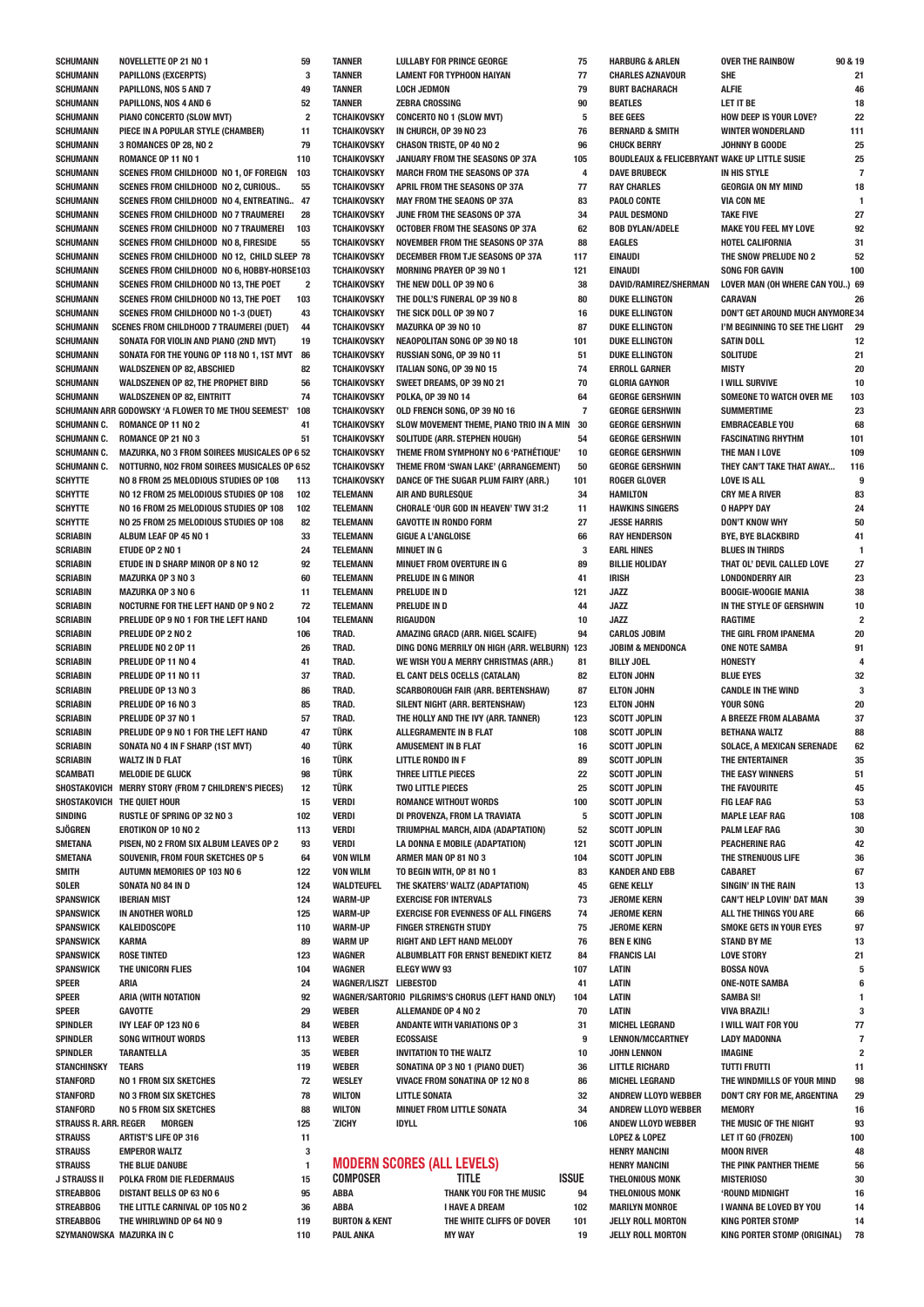| <b>SCHUMANN</b>                      | <b>NOVELLETTE OP 21 NO 1</b>                                                              | 59                      | <b>TANNER</b>                            | <b>LULLABY FOR PRINCE GEORGE</b>                                             | 75           |
|--------------------------------------|-------------------------------------------------------------------------------------------|-------------------------|------------------------------------------|------------------------------------------------------------------------------|--------------|
| <b>SCHUMANN</b>                      | <b>PAPILLONS (EXCERPTS)</b>                                                               | 3                       | <b>TANNER</b>                            | <b>LAMENT FOR TYPHOON HAIYAN</b>                                             | 77           |
| <b>SCHUMANN</b>                      | PAPILLONS, NOS 5 AND 7                                                                    | 49                      | <b>TANNER</b>                            | <b>LOCH JEDMON</b>                                                           | 79           |
| <b>SCHUMANN</b><br><b>SCHUMANN</b>   | PAPILLONS, NOS 4 AND 6<br>PIANO CONCERTO (SLOW MVT)                                       | 52<br>$\overline{2}$    | <b>TANNER</b><br><b>TCHAIKOVSKY</b>      | <b>ZEBRA CROSSING</b><br><b>CONCERTO NO 1 (SLOW MVT)</b>                     | 90<br>5      |
| <b>SCHUMANN</b>                      | PIECE IN A POPULAR STYLE (CHAMBER)                                                        | 11                      | <b>TCHAIKOVSKY</b>                       | IN CHURCH, OP 39 NO 23                                                       | 76           |
| <b>SCHUMANN</b>                      | 3 ROMANCES OP 28, NO 2                                                                    | 79                      | <b>TCHAIKOVSKY</b>                       | <b>CHASON TRISTE, OP 40 NO 2</b>                                             | 96           |
| <b>SCHUMANN</b>                      | ROMANCE OP 11 NO 1                                                                        | 110                     | <b>TCHAIKOVSKY</b>                       | JANUARY FROM THE SEASONS OP 37A                                              | 105          |
| <b>SCHUMANN</b>                      | SCENES FROM CHILDHOOD NO 1, OF FOREIGN                                                    | 103                     | <b>TCHAIKOVSKY</b>                       | <b>MARCH FROM THE SEASONS OP 37A</b>                                         | 4            |
| <b>SCHUMANN</b>                      | SCENES FROM CHILDHOOD NO 2, CURIOUS                                                       | 55                      | <b>TCHAIKOVSKY</b>                       | APRIL FROM THE SEASONS OP 37A                                                | 77           |
| <b>SCHUMANN</b>                      | SCENES FROM CHILDHOOD NO 4, ENTREATING                                                    | 47                      | <b>TCHAIKOVSKY</b>                       | <b>MAY FROM THE SEAONS OP 37A</b>                                            | 83           |
| <b>SCHUMANN</b>                      | <b>SCENES FROM CHILDHOOD NO 7 TRAUMEREI</b>                                               | 28                      | <b>TCHAIKOVSKY</b>                       | JUNE FROM THE SEASONS OP 37A                                                 | 34           |
| <b>SCHUMANN</b>                      | <b>SCENES FROM CHILDHOOD NO 7 TRAUMEREI</b>                                               | 103                     | <b>TCHAIKOVSKY</b>                       | <b>OCTOBER FROM THE SEASONS OP 37A</b>                                       | 62           |
| <b>SCHUMANN</b>                      | SCENES FROM CHILDHOOD NO 8, FIRESIDE                                                      | 55                      | <b>TCHAIKOVSKY</b>                       | <b>NOVEMBER FROM THE SEASONS OP 37A</b><br>DECEMBER FROM TJE SEASONS OP 37A  | 88<br>117    |
| <b>SCHUMANN</b><br><b>SCHUMANN</b>   | SCENES FROM CHILDHOOD NO 12, CHILD SLEEP 78<br>SCENES FROM CHILDHOOD NO 6, HOBBY-HORSE103 |                         | <b>TCHAIKOVSKY</b><br><b>TCHAIKOVSKY</b> | <b>MORNING PRAYER OP 39 NO 1</b>                                             | 121          |
| <b>SCHUMANN</b>                      | SCENES FROM CHILDHOOD NO 13, THE POET                                                     | $\overline{\mathbf{2}}$ | <b>TCHAIKOVSKY</b>                       | THE NEW DOLL OP 39 NO 6                                                      | 38           |
| <b>SCHUMANN</b>                      | SCENES FROM CHILDHOOD NO 13, THE POET                                                     | 103                     | <b>TCHAIKOVSKY</b>                       | THE DOLL'S FUNERAL OP 39 NO 8                                                | 80           |
| <b>SCHUMANN</b>                      | <b>SCENES FROM CHILDHOOD NO 1-3 (DUET)</b>                                                | 43                      | <b>TCHAIKOVSKY</b>                       | THE SICK DOLL OP 39 NO 7                                                     | 16           |
| <b>SCHUMANN</b>                      | <b>SCENES FROM CHILDHOOD 7 TRAUMEREI (DUET)</b>                                           | 44                      | <b>TCHAIKOVSKY</b>                       | <b>MAZURKA OP 39 NO 10</b>                                                   | 87           |
| <b>SCHUMANN</b>                      | SONATA FOR VIOLIN AND PIANO (2ND MVT)                                                     | 19                      | <b>TCHAIKOVSKY</b>                       | NEAOPOLITAN SONG OP 39 NO 18                                                 | 101          |
| <b>SCHUMANN</b>                      | SONATA FOR THE YOUNG OP 118 NO 1, 1ST MVT                                                 | 86                      | <b>TCHAIKOVSKY</b>                       | RUSSIAN SONG, OP 39 NO 11                                                    | 51           |
| <b>SCHUMANN</b>                      | <b>WALDSZENEN OP 82, ABSCHIED</b>                                                         | 82                      | <b>TCHAIKOVSKY</b>                       | ITALIAN SONG, OP 39 NO 15                                                    | 74           |
| <b>SCHUMANN</b>                      | WALDSZENEN OP 82, THE PROPHET BIRD                                                        | 56                      | <b>TCHAIKOVSKY</b>                       | SWEET DREAMS, OP 39 NO 21                                                    | 70           |
| <b>SCHUMANN</b>                      | <b>WALDSZENEN OP 82, EINTRITT</b><br>SCHUMANN ARR GODOWSKY 'A FLOWER TO ME THOU SEEMEST'  | 74<br>108               | <b>TCHAIKOVSKY</b><br><b>TCHAIKOVSKY</b> | POLKA, OP 39 NO 14<br>OLD FRENCH SONG, OP 39 NO 16                           | 64<br>7      |
| <b>SCHUMANN C.</b>                   | ROMANCE OP 11 NO 2                                                                        | 41                      | <b>TCHAIKOVSKY</b>                       | SLOW MOVEMENT THEME, PIANO TRIO IN A MIN                                     | 30           |
| <b>SCHUMANN C.</b>                   | ROMANCE OP 21 NO 3                                                                        | 51                      | <b>TCHAIKOVSKY</b>                       | <b>SOLITUDE (ARR. STEPHEN HOUGH)</b>                                         | 54           |
| <b>SCHUMANN C.</b>                   | MAZURKA, NO 3 FROM SOIREES MUSICALES OP 6 52                                              |                         | <b>TCHAIKOVSKY</b>                       | THEME FROM SYMPHONY NO 6 'PATHÉTIQUE'                                        | 10           |
| <b>SCHUMANN C.</b>                   | NOTTURNO, NO2 FROM SOIREES MUSICALES OP 652                                               |                         | <b>TCHAIKOVSKY</b>                       | THEME FROM 'SWAN LAKE' (ARRANGEMENT)                                         | 50           |
| <b>SCHYTTE</b>                       | NO 8 FROM 25 MELODIOUS STUDIES OP 108                                                     | 113                     | <b>TCHAIKOVSKY</b>                       | DANCE OF THE SUGAR PLUM FAIRY (ARR.)                                         | 101          |
| <b>SCHYTTE</b>                       | NO 12 FROM 25 MELODIOUS STUDIES OP 108                                                    | 102                     | <b>TELEMANN</b>                          | <b>AIR AND BURLESQUE</b>                                                     | 34           |
| <b>SCHYTTE</b>                       | NO 16 FROM 25 MELODIOUS STUDIES OP 108                                                    | 102                     | <b>TELEMANN</b>                          | <b>CHORALE 'OUR GOD IN HEAVEN' TWV 31:2</b>                                  | 11           |
| <b>SCHYTTE</b>                       | NO 25 FROM 25 MELODIOUS STUDIES OP 108                                                    | 82                      | <b>TELEMANN</b>                          | <b>GAVOTTE IN RONDO FORM</b>                                                 | 27           |
| <b>SCRIABIN</b>                      | ALBUM LEAF OP 45 NO 1                                                                     | 33                      | <b>TELEMANN</b>                          | <b>GIGUE A L'ANGLOISE</b>                                                    | 66           |
| <b>SCRIABIN</b>                      | ETUDE OP 2 NO 1                                                                           | 24                      | <b>TELEMANN</b>                          | <b>MINUET IN G</b>                                                           | 3            |
| <b>SCRIABIN</b><br><b>SCRIABIN</b>   | ETUDE IN D SHARP MINOR OP 8 NO 12<br><b>MAZURKA OP 3 NO 3</b>                             | 92<br>60                | <b>TELEMANN</b><br><b>TELEMANN</b>       | <b>MINUET FROM OVERTURE IN G</b><br>PRELUDE IN G MINOR                       | 89<br>41     |
| <b>SCRIABIN</b>                      | <b>MAZURKA OP 3 NO 6</b>                                                                  | 11                      | <b>TELEMANN</b>                          | PRELUDE IN D                                                                 | 121          |
| <b>SCRIABIN</b>                      | <b>NOCTURNE FOR THE LEFT HAND OP 9 NO 2</b>                                               | 72                      | <b>TELEMANN</b>                          | PRELUDE IN D                                                                 | 44           |
| <b>SCRIABIN</b>                      | PRELUDE OP 9 NO 1 FOR THE LEFT HAND                                                       | 104                     | <b>TELEMANN</b>                          | RIGAUDON                                                                     | 10           |
| <b>SCRIABIN</b>                      | PRELUDE OP 2 NO 2                                                                         | 106                     | TRAD.                                    | AMAZING GRACD (ARR. NIGEL SCAIFE)                                            | 94           |
| <b>SCRIABIN</b>                      | PRELUDE NO 2 OP 11                                                                        | 26                      | TRAD.                                    | DING DONG MERRILY ON HIGH (ARR. WELBURN)                                     | 123          |
| <b>SCRIABIN</b>                      | PRELUDE OP 11 NO 4                                                                        | 41                      | TRAD.                                    | WE WISH YOU A MERRY CHRISTMAS (ARR.)                                         | 81           |
| <b>SCRIABIN</b>                      | PRELUDE OP 11 NO 11                                                                       | 37                      | TRAD.                                    | EL CANT DELS OCELLS (CATALAN)                                                | 82           |
| <b>SCRIABIN</b>                      | PRELUDE OP 13 NO 3                                                                        | 86                      | TRAD.                                    | <b>SCARBOROUGH FAIR (ARR. BERTENSHAW)</b>                                    | 87           |
| <b>SCRIABIN</b>                      | PRELUDE OP 16 NO 3                                                                        | 85                      | TRAD.                                    | SILENT NIGHT (ARR. BERTENSHAW)                                               | 123          |
| <b>SCRIABIN</b>                      | PRELUDE OP 37 NO 1                                                                        | 57                      | TRAD.                                    | THE HOLLY AND THE IVY (ARR. TANNER)                                          | 123          |
| <b>SCRIABIN</b>                      | PRELUDE OP 9 NO 1 FOR THE LEFT HAND                                                       | 47                      | TÜRK<br>TÜRK                             | <b>ALLEGRAMENTE IN B FLAT</b><br><b>AMUSEMENT IN B FLAT</b>                  | 108          |
| <b>SCRIABIN</b><br><b>SCRIABIN</b>   | SONATA NO 4 IN F SHARP (1ST MVT)<br><b>WALTZ IN D FLAT</b>                                | 40<br>16                | TÜRK                                     | LITTLE RONDO IN F                                                            | 16<br>89     |
| <b>SCAMBATI</b>                      | <b>MELODIE DE GLUCK</b>                                                                   | 98                      | TÜRK                                     | THREE LITTLE PIECES                                                          | 22           |
|                                      | SHOSTAKOVICH MERRY STORY (FROM 7 CHILDREN'S PIECES)                                       | 12                      | TÜRK                                     | <b>TWO LITTLE PIECES</b>                                                     | 25           |
|                                      | SHOSTAKOVICH THE QUIET HOUR                                                               | 15                      | <b>VERDI</b>                             | <b>ROMANCE WITHOUT WORDS</b>                                                 | 100          |
| <b>SINDING</b>                       | <b>RUSTLE OF SPRING OP 32 NO 3</b>                                                        | 102                     | <b>VERDI</b>                             | DI PROVENZA, FROM LA TRAVIATA                                                | 5            |
| <b>SJÖGREN</b>                       | <b>EROTIKON OP 10 NO 2</b>                                                                | 113                     | <b>VERDI</b>                             | TRIUMPHAL MARCH, AIDA (ADAPTATION)                                           | 52           |
| <b>SMETANA</b>                       | PISEN, NO 2 FROM SIX ALBUM LEAVES OP 2                                                    | 93                      | <b>VERDI</b>                             | LA DONNA E MOBILE (ADAPTATION)                                               | 121          |
| <b>SMETANA</b>                       | SOUVENIR, FROM FOUR SKETCHES OP 5                                                         | 64                      | <b>VON WILM</b>                          | ARMER MAN OP 81 NO 3                                                         | 104          |
| <b>SMITH</b>                         | AUTUMN MEMORIES OP 103 NO 6                                                               | 122                     | <b>VON WILM</b>                          | TO BEGIN WITH, OP 81 NO 1                                                    | 83           |
| <b>SOLER</b>                         | SONATA NO 84 IN D                                                                         | 124                     | WALDTEUFEL                               | THE SKATERS' WALTZ (ADAPTATION)                                              | 45           |
| <b>SPANSWICK</b><br><b>SPANSWICK</b> | <b>IBERIAN MIST</b>                                                                       | 124                     | <b>WARM-UP</b>                           | <b>EXERCISE FOR INTERVALS</b><br><b>EXERCISE FOR EVENNESS OF ALL FINGERS</b> | 73           |
| <b>SPANSWICK</b>                     | IN ANOTHER WORLD<br><b>KALEIDOSCOPE</b>                                                   | 125<br>110              | <b>WARM-UP</b><br><b>WARM-UP</b>         | <b>FINGER STRENGTH STUDY</b>                                                 | 74<br>75     |
| <b>SPANSWICK</b>                     | <b>KARMA</b>                                                                              | 89                      | <b>WARM UP</b>                           | RIGHT AND LEFT HAND MELODY                                                   | 76           |
| <b>SPANSWICK</b>                     | <b>ROSE TINTED</b>                                                                        | 123                     | WAGNER                                   | ALBUMBLATT FOR ERNST BENEDIKT KIETZ                                          | 84           |
| <b>SPANSWICK</b>                     | THE UNICORN FLIES                                                                         | 104                     | <b>WAGNER</b>                            | <b>ELEGY WWV 93</b>                                                          | 107          |
| <b>SPEER</b>                         | <b>ARIA</b>                                                                               | 24                      | <b>WAGNER/LISZT LIEBESTOD</b>            |                                                                              | 41           |
| <b>SPEER</b>                         | ARIA (WITH NOTATION                                                                       | 92                      |                                          | WAGNER/SARTORIO PILGRIMS'S CHORUS (LEFT HAND ONLY)                           | 104          |
| <b>SPEER</b>                         | <b>GAVOTTE</b>                                                                            | 29                      | WEBER                                    | ALLEMANDE OP 4 NO 2                                                          | 70           |
| <b>SPINDLER</b>                      | <b>IVY LEAF OP 123 NO 6</b>                                                               | 84                      | <b>WEBER</b>                             | <b>ANDANTE WITH VARIATIONS OP 3</b>                                          | 31           |
| <b>SPINDLER</b>                      | <b>SONG WITHOUT WORDS</b>                                                                 | 113                     | WEBER                                    | <b>ECOSSAISE</b>                                                             | 9            |
| <b>SPINDLER</b>                      | TARANTELLA                                                                                | 35                      | WEBER                                    | <b>INVITATION TO THE WALTZ</b>                                               | 10           |
| <b>STANCHINSKY</b>                   | <b>TEARS</b>                                                                              | 119                     | WEBER                                    | SONATINA OP 3 NO 1 (PIANO DUET)                                              | 36           |
| <b>STANFORD</b><br><b>STANFORD</b>   | <b>NO 1 FROM SIX SKETCHES</b><br><b>NO 3 FROM SIX SKETCHES</b>                            | 72<br>78                | WESLEY<br>WILTON                         | VIVACE FROM SONATINA OP 12 NO 8<br><b>LITTLE SONATA</b>                      | 86<br>32     |
| <b>STANFORD</b>                      | <b>NO 5 FROM SIX SKETCHES</b>                                                             | 88                      | WILTON                                   | <b>MINUET FROM LITTLE SONATA</b>                                             | 34           |
| <b>STRAUSS R. ARR. REGER</b>         | <b>MORGEN</b>                                                                             | 125                     | `ZICHY                                   | <b>IDYLL</b>                                                                 | 106          |
| <b>STRAUSS</b>                       | <b>ARTIST'S LIFE OP 316</b>                                                               | 11                      |                                          |                                                                              |              |
| <b>STRAUSS</b>                       | <b>EMPEROR WALTZ</b>                                                                      | 3                       |                                          |                                                                              |              |
| <b>STRAUSS</b>                       | THE BLUE DANUBE                                                                           | 1                       |                                          | <b>MODERN SCORES (ALL LEVELS)</b>                                            |              |
| <b>J STRAUSS II</b>                  | POLKA FROM DIE FLEDERMAUS                                                                 | 15                      | <b>COMPOSER</b>                          | TITLE                                                                        | <b>ISSUE</b> |
| <b>STREABBOG</b>                     | DISTANT BELLS OP 63 NO 6                                                                  | 95                      | ABBA                                     | THANK YOU FOR THE MUSIC                                                      | 94           |
| <b>STREABBOG</b>                     | THE LITTLE CARNIVAL OP 105 NO 2                                                           | 36                      | ABBA                                     | <b>I HAVE A DREAM</b>                                                        | 102          |
| <b>STREABBOG</b>                     | THE WHIRLWIND OP 64 NO 9                                                                  | 119                     | <b>BURTON &amp; KENT</b>                 | THE WHITE CLIFFS OF DOVER                                                    | 101<br>19    |
| SZYMANOWSKA MAZURKA IN C             |                                                                                           | 110                     | <b>PAUL ANKA</b>                         | <b>MY WAY</b>                                                                |              |

| <b>CHARLES AZNAVOUR</b>                                  | <b>SHE</b>                        | 21                      |
|----------------------------------------------------------|-----------------------------------|-------------------------|
|                                                          |                                   |                         |
| <b>BURT BACHARACH</b>                                    | <b>ALFIE</b>                      | 46                      |
| <b>BEATLES</b>                                           | LET IT BE                         | 18                      |
| <b>BEE GEES</b>                                          | <b>HOW DEEP IS YOUR LOVE?</b>     | 22                      |
| <b>BERNARD &amp; SMITH</b>                               | <b>WINTER WONDERLAND</b>          | 111                     |
| <b>CHUCK BERRY</b>                                       | <b>JOHNNY B GOODE</b>             | 25                      |
| <b>BOUDLEAUX &amp; FELICEBRYANT WAKE UP LITTLE SUSIE</b> |                                   | 25                      |
| <b>DAVE BRUBECK</b>                                      | IN HIS STYLE                      | $\overline{7}$          |
| <b>RAY CHARLES</b>                                       | <b>GEORGIA ON MY MIND</b>         | 18                      |
| <b>PAOLO CONTE</b>                                       | <b>VIA CON ME</b>                 | 1                       |
| PAUL DESMOND                                             | <b>TAKE FIVE</b>                  | 27                      |
| <b>BOB DYLAN/ADELE</b>                                   | MAKE YOU FEEL MY LOVE             | 92                      |
|                                                          |                                   |                         |
| EAGLES                                                   | HOTEL CALIFORNIA                  | 31                      |
| EINAUDI                                                  | THE SNOW PRELUDE NO 2             | 52                      |
| EINAUDI                                                  | <b>SONG FOR GAVIN</b>             | 100                     |
| DAVID/RAMIREZ/SHERMAN                                    | LOVER MAN (OH WHERE CAN YOU) 69   |                         |
| <b>DUKE ELLINGTON</b>                                    | <b>CARAVAN</b>                    | 26                      |
| <b>DUKE ELLINGTON</b>                                    | DON'T GET AROUND MUCH ANYMORE 34  |                         |
| <b>DUKE ELLINGTON</b>                                    | I'M BEGINNING TO SEE THE LIGHT    | 29                      |
| <b>DUKE ELLINGTON</b>                                    | <b>SATIN DOLL</b>                 | 12                      |
| <b>DUKE ELLINGTON</b>                                    | <b>SOLITUDE</b>                   | 21                      |
| ERROLL GARNER                                            | <b>MISTY</b>                      | 20                      |
| GLORIA GAYNOR                                            | I WILL SURVIVE                    | 10                      |
| <b>GEORGE GERSHWIN</b>                                   | SOMEONE TO WATCH OVER ME          | 103                     |
|                                                          |                                   |                         |
| <b>GEORGE GERSHWIN</b>                                   | <b>SUMMERTIME</b>                 | 23                      |
| GEORGE GERSHWIN                                          | <b>EMBRACEABLE YOU</b>            | 68                      |
| GEORGE GERSHWIN                                          | <b>FASCINATING RHYTHM</b>         | 101                     |
| GEORGE GERSHWIN                                          | THE MAN I LOVE                    | 109                     |
| GEORGE GERSHWIN                                          | THEY CAN'T TAKE THAT AWAY         | 116                     |
| ROGER GLOVER                                             | <b>LOVE IS ALL</b>                | 9                       |
| HAMILTON                                                 | <b>CRY ME A RIVER</b>             | 83                      |
| <b>HAWKINS SINGERS</b>                                   | <b>O HAPPY DAY</b>                | 24                      |
| <b>JESSE HARRIS</b>                                      | <b>DON'T KNOW WHY</b>             | 50                      |
|                                                          |                                   |                         |
| <b>RAY HENDERSON</b>                                     | <b>BYE, BYE BLACKBIRD</b>         | 41                      |
| <b>EARL HINES</b>                                        | <b>BLUES IN THIRDS</b>            | $\mathbf{1}$            |
| <b>BILLIE HOLIDAY</b>                                    | THAT OL' DEVIL CALLED LOVE        | 27                      |
| IRISH                                                    | <b>LONDONDERRY AIR</b>            | 23                      |
| <b>JAZZ</b>                                              | <b>BOOGIE-WOOGIE MANIA</b>        | 38                      |
| JAZZ                                                     | IN THE STYLE OF GERSHWIN          | 10                      |
| JAZZ                                                     | <b>RAGTIME</b>                    | $\overline{2}$          |
| <b>CARLOS JOBIM</b>                                      | THE GIRL FROM IPANEMA             | 20                      |
| JOBIM & MENDONCA                                         | <b>ONE NOTE SAMBA</b>             | 91                      |
| <b>BILLY JOEL</b>                                        | <b>HONESTY</b>                    | 4                       |
| <b>ELTON JOHN</b>                                        | <b>BLUE EYES</b>                  | 32                      |
|                                                          |                                   |                         |
| <b>ELTON JOHN</b>                                        | <b>CANDLE IN THE WIND</b>         | 3                       |
| <b>ELTON JOHN</b>                                        | <b>YOUR SONG</b>                  | 20                      |
| <b>SCOTT JOPLIN</b>                                      | A BREEZE FROM ALABAMA             | 37                      |
| <b>SCOTT JOPLIN</b>                                      | <b>BETHANA WALTZ</b>              | 88                      |
| <b>SCOTT JOPLIN</b>                                      | <b>SOLACE, A MEXICAN SERENADE</b> | 62                      |
| SCOTT JOPLIN                                             | THE ENTERTAINER                   | 35                      |
| <b>SCOTT JOPLIN</b>                                      | THE EASY WINNERS                  | 51                      |
| <b>SCOTT JOPLIN</b>                                      | THE FAVOURITE                     | 45                      |
| <b>SCOTT JOPLIN</b>                                      | <b>FIG LEAF RAG</b>               | 53                      |
| <b>SCOTT JOPLIN</b>                                      | <b>MAPLE LEAF RAG</b>             | 108                     |
| <b>SCOTT JOPLIN</b>                                      | <b>PALM LEAF RAG</b>              | 30                      |
|                                                          | <b>PEACHERINE RAG</b>             |                         |
| <b>SCOTT JOPLIN</b>                                      |                                   | 42                      |
| <b>SCOTT JOPLIN</b>                                      | THE STRENUOUS LIFE                | 36                      |
| <b>KANDER AND EBB</b>                                    | <b>CABARET</b>                    | 67                      |
| <b>GENE KELLY</b>                                        | <b>SINGIN' IN THE RAIN</b>        | 13                      |
| <b>JEROME KERN</b>                                       | <b>CAN'T HELP LOVIN' DAT MAN</b>  | 39                      |
| <b>JEROME KERN</b>                                       | ALL THE THINGS YOU ARE            | 66                      |
| <b>JEROME KERN</b>                                       | <b>SMOKE GETS IN YOUR EYES</b>    | 97                      |
| <b>BEN E KING</b>                                        | <b>STAND BY ME</b>                | 13                      |
| <b>FRANCIS LAI</b>                                       | <b>LOVE STORY</b>                 | 21                      |
| LATIN                                                    | <b>BOSSA NOVA</b>                 | 5                       |
| LATIN                                                    | <b>ONE-NOTE SAMBA</b>             | 6                       |
| LATIN                                                    | <b>SAMBA SI!</b>                  | 1                       |
|                                                          |                                   |                         |
| LATIN                                                    | <b>VIVA BRAZIL!</b>               | 3                       |
| MICHEL LEGRAND                                           | I WILL WAIT FOR YOU               | 77                      |
| <b>LENNON/MCCARTNEY</b>                                  | <b>LADY MADONNA</b>               | 7                       |
| <b>JOHN LENNON</b>                                       | <b>IMAGINE</b>                    | $\overline{\mathbf{2}}$ |
| LITTLE RICHARD                                           | <b>TUTTI FRUTTI</b>               | 11                      |
| <b>MICHEL LEGRAND</b>                                    | THE WINDMILLS OF YOUR MIND        | 98                      |
| ANDREW LLOYD WEBBER                                      | DON'T CRY FOR ME, ARGENTINA       | 29                      |
| ANDREW LLOYD WEBBER                                      | <b>MEMORY</b>                     | 16                      |
| ANDEW LLOYD WEBBER                                       | THE MUSIC OF THE NIGHT            | 93                      |
| <b>LOPEZ &amp; LOPEZ</b>                                 | LET IT GO (FROZEN)                | 100                     |
|                                                          | <b>MOON RIVER</b>                 |                         |
| <b>HENRY MANCINI</b>                                     |                                   | 48                      |
| <b>HENRY MANCINI</b>                                     | THE PINK PANTHER THEME            | 56                      |
| THELONIOUS MONK                                          | <b>MISTERIOSO</b>                 | 30                      |
| THELONIOUS MONK                                          | <b>'ROUND MIDNIGHT</b>            | 16                      |
| <b>MARILYN MONROE</b>                                    | I WANNA BE LOVED BY YOU           | 14                      |
| <b>JELLY ROLL MORTON</b>                                 | <b>KING PORTER STOMP</b>          | 14                      |
| <b>JELLY ROLL MORTON</b>                                 | KING PORTER STOMP (ORIGINAL)      | 78                      |
|                                                          |                                   |                         |

**HARBURG & ARLEN OVER THE RAINBOW 90 & 19**